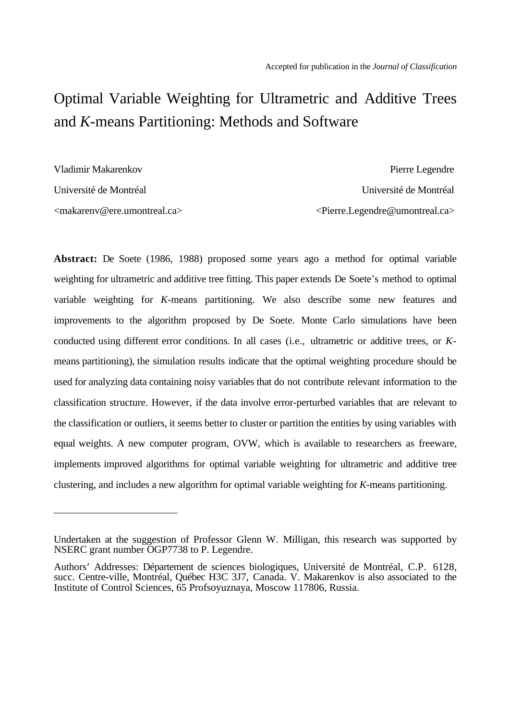# Optimal Variable Weighting for Ultrametric and Additive Trees and *K*-means Partitioning: Methods and Software

Vladimir Makarenkov.

 $\overline{a}$ 

 Pierre Legendre Université de Montréal Université de Montréal <makarenv@ere.umontreal.ca> <Pierre.Legendre@umontreal.ca>

**Abstract:** De Soete (1986, 1988) proposed some years ago a method for optimal variable weighting for ultrametric and additive tree fitting. This paper extends De Soete's method to optimal variable weighting for *K*-means partitioning. We also describe some new features and improvements to the algorithm proposed by De Soete. Monte Carlo simulations have been conducted using different error conditions. In all cases (i.e., ultrametric or additive trees, or *K*means partitioning), the simulation results indicate that the optimal weighting procedure should be used for analyzing data containing noisy variables that do not contribute relevant information to the classification structure. However, if the data involve error-perturbed variables that are relevant to the classification or outliers, it seems better to cluster or partition the entities by using variables with equal weights. A new computer program, OVW, which is available to researchers as freeware, implements improved algorithms for optimal variable weighting for ultrametric and additive tree clustering, and includes a new algorithm for optimal variable weighting for *K*-means partitioning.

Undertaken at the suggestion of Professor Glenn W. Milligan, this research was supported by NSERC grant number OGP7738 to P. Legendre.

Authors' Addresses: Département de sciences biologiques, Université de Montréal, C.P. 6128, succ. Centre-ville, Montréal, Québec H3C 3J7, Canada. V. Makarenkov is also associated to the Institute of Control Sciences, 65 Profsoyuznaya, Moscow 117806, Russia.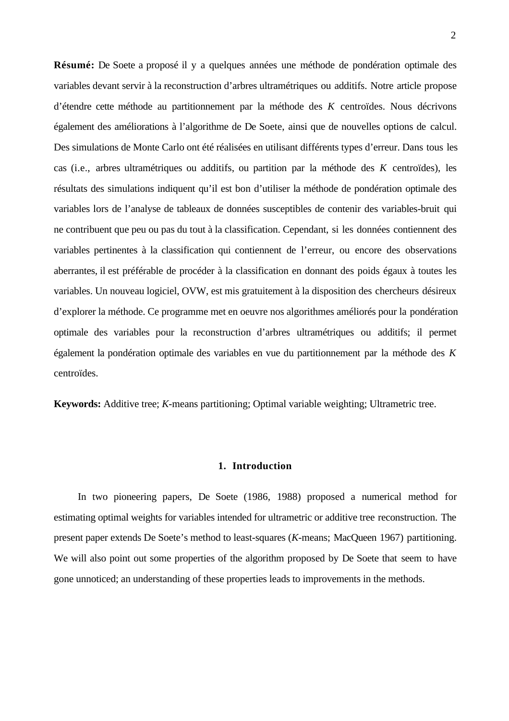**Résumé:** De Soete a proposé il y a quelques années une méthode de pondération optimale des variables devant servir à la reconstruction d'arbres ultramétriques ou additifs. Notre article propose d'étendre cette méthode au partitionnement par la méthode des *K* centroïdes. Nous décrivons également des améliorations à l'algorithme de De Soete, ainsi que de nouvelles options de calcul. Des simulations de Monte Carlo ont été réalisées en utilisant différents types d'erreur. Dans tous les cas (i.e., arbres ultramétriques ou additifs, ou partition par la méthode des *K* centroïdes), les résultats des simulations indiquent qu'il est bon d'utiliser la méthode de pondération optimale des variables lors de l'analyse de tableaux de données susceptibles de contenir des variables-bruit qui ne contribuent que peu ou pas du tout à la classification. Cependant, si les données contiennent des variables pertinentes à la classification qui contiennent de l'erreur, ou encore des observations aberrantes, il est préférable de procéder à la classification en donnant des poids égaux à toutes les variables. Un nouveau logiciel, OVW, est mis gratuitement à la disposition des chercheurs désireux d'explorer la méthode. Ce programme met en oeuvre nos algorithmes améliorés pour la pondération optimale des variables pour la reconstruction d'arbres ultramétriques ou additifs; il permet également la pondération optimale des variables en vue du partitionnement par la méthode des *K* centroïdes.

**Keywords:** Additive tree; *K*-means partitioning; Optimal variable weighting; Ultrametric tree.

## **1. Introduction**

In two pioneering papers, De Soete (1986, 1988) proposed a numerical method for estimating optimal weights for variables intended for ultrametric or additive tree reconstruction. The present paper extends De Soete's method to least-squares (*K*-means; MacQueen 1967) partitioning. We will also point out some properties of the algorithm proposed by De Soete that seem to have gone unnoticed; an understanding of these properties leads to improvements in the methods.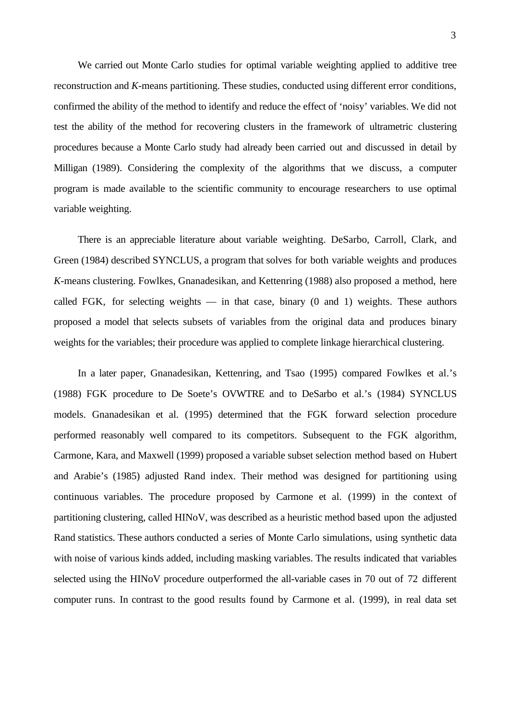We carried out Monte Carlo studies for optimal variable weighting applied to additive tree reconstruction and *K*-means partitioning. These studies, conducted using different error conditions, confirmed the ability of the method to identify and reduce the effect of 'noisy' variables. We did not test the ability of the method for recovering clusters in the framework of ultrametric clustering procedures because a Monte Carlo study had already been carried out and discussed in detail by Milligan (1989). Considering the complexity of the algorithms that we discuss, a computer program is made available to the scientific community to encourage researchers to use optimal variable weighting.

There is an appreciable literature about variable weighting. DeSarbo, Carroll, Clark, and Green (1984) described SYNCLUS, a program that solves for both variable weights and produces *K*-means clustering. Fowlkes, Gnanadesikan, and Kettenring (1988) also proposed a method, here called FGK, for selecting weights  $-$  in that case, binary  $(0 \text{ and } 1)$  weights. These authors proposed a model that selects subsets of variables from the original data and produces binary weights for the variables; their procedure was applied to complete linkage hierarchical clustering.

In a later paper, Gnanadesikan, Kettenring, and Tsao (1995) compared Fowlkes et al.'s (1988) FGK procedure to De Soete's OVWTRE and to DeSarbo et al.'s (1984) SYNCLUS models. Gnanadesikan et al. (1995) determined that the FGK forward selection procedure performed reasonably well compared to its competitors. Subsequent to the FGK algorithm, Carmone, Kara, and Maxwell (1999) proposed a variable subset selection method based on Hubert and Arabie's (1985) adjusted Rand index. Their method was designed for partitioning using continuous variables. The procedure proposed by Carmone et al. (1999) in the context of partitioning clustering, called HINoV, was described as a heuristic method based upon the adjusted Rand statistics. These authors conducted a series of Monte Carlo simulations, using synthetic data with noise of various kinds added, including masking variables. The results indicated that variables selected using the HINoV procedure outperformed the all-variable cases in 70 out of 72 different computer runs. In contrast to the good results found by Carmone et al. (1999), in real data set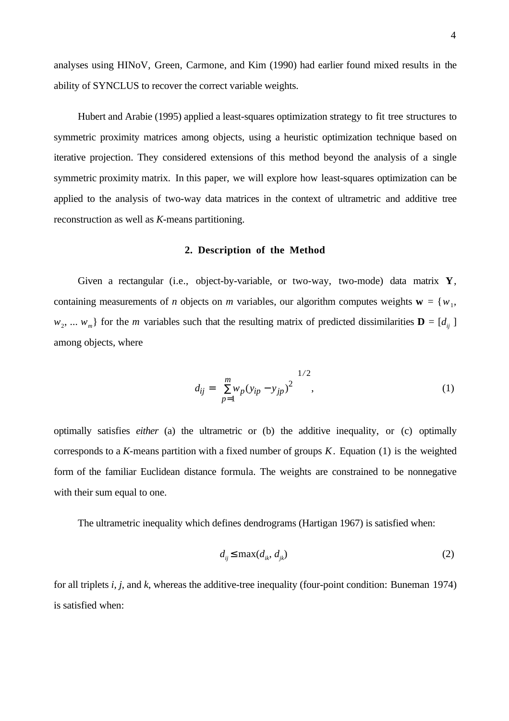analyses using HINoV, Green, Carmone, and Kim (1990) had earlier found mixed results in the ability of SYNCLUS to recover the correct variable weights.

Hubert and Arabie (1995) applied a least-squares optimization strategy to fit tree structures to symmetric proximity matrices among objects, using a heuristic optimization technique based on iterative projection. They considered extensions of this method beyond the analysis of a single symmetric proximity matrix. In this paper, we will explore how least-squares optimization can be applied to the analysis of two-way data matrices in the context of ultrametric and additive tree reconstruction as well as *K*-means partitioning.

#### **2. Description of the Method**

Given a rectangular (i.e., object-by-variable, or two-way, two-mode) data matrix **Y**, containing measurements of *n* objects on *m* variables, our algorithm computes weights  $\mathbf{w} = \{w_1,$  $w_2, \ldots, w_m$ } for the *m* variables such that the resulting matrix of predicted dissimilarities  $\mathbf{D} = [d_{ij}]$ among objects, where

$$
d_{ij} = \left[\sum_{p=1}^{m} w_p (y_{ip} - y_{jp})^2\right]^{1/2},\tag{1}
$$

optimally satisfies *either* (a) the ultrametric or (b) the additive inequality, or (c) optimally corresponds to a *K*-means partition with a fixed number of groups *K*. Equation (1) is the weighted form of the familiar Euclidean distance formula. The weights are constrained to be nonnegative with their sum equal to one.

The ultrametric inequality which defines dendrograms (Hartigan 1967) is satisfied when:

$$
d_{ij} \le \max(d_{ik}, d_{jk})
$$
 (2)

for all triplets *i*, *j*, and *k*, whereas the additive-tree inequality (four-point condition: Buneman 1974) is satisfied when: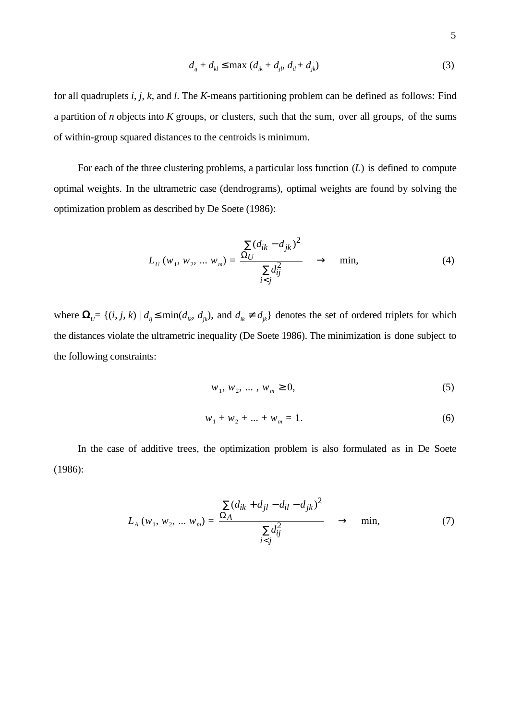$$
d_{ij} + d_{kl} \le \max (d_{ik} + d_{jl}, d_{il} + d_{jk})
$$
 (3)

for all quadruplets *i*, *j*, *k*, and *l*. The *K*-means partitioning problem can be defined as follows: Find a partition of *n* objects into *K* groups, or clusters, such that the sum, over all groups, of the sums of within-group squared distances to the centroids is minimum.

For each of the three clustering problems, a particular loss function (*L*) is defined to compute optimal weights. In the ultrametric case (dendrograms), optimal weights are found by solving the optimization problem as described by De Soete (1986):

$$
L_{U}(w_{1}, w_{2}, ... w_{m}) = \frac{\sum (d_{ik} - d_{jk})^{2}}{\sum d_{ij}^{2}} \rightarrow \min, \tag{4}
$$

where  $\Omega_{U} = \{(i, j, k) | d_{ij} \le \min(d_{ik}, d_{jk})$ , and  $d_{ik} \ne d_{jk}$  denotes the set of ordered triplets for which the distances violate the ultrametric inequality (De Soete 1986). The minimization is done subject to the following constraints:

$$
w_1, w_2, \dots, w_m \ge 0,\tag{5}
$$

$$
w_1 + w_2 + \dots + w_m = 1. \tag{6}
$$

In the case of additive trees, the optimization problem is also formulated as in De Soete (1986):

$$
L_A (w_1, w_2, ..., w_m) = \frac{\sum (d_{ik} + d_{jl} - d_{il} - d_{jk})^2}{\sum d_{ij}^2} \rightarrow \min, \tag{7}
$$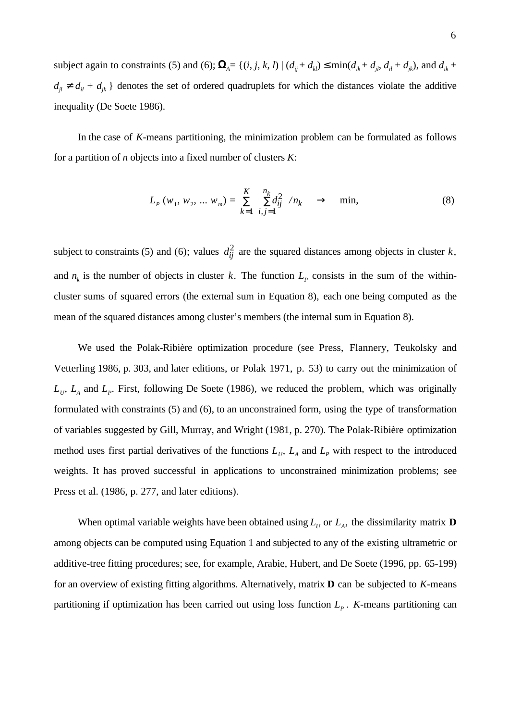subject again to constraints (5) and (6);  $\mathbf{\Omega}_A = \{(i, j, k, l) | (d_{ij} + d_{kl}) \le \min(d_{ik} + d_{jl}, d_{il} + d_{jk})$ , and  $d_{ik}$  $d_{jl} \neq d_{il} + d_{jk}$  } denotes the set of ordered quadruplets for which the distances violate the additive inequality (De Soete 1986).

In the case of *K*-means partitioning, the minimization problem can be formulated as follows for a partition of *n* objects into a fixed number of clusters *K*:

$$
L_p(w_1, w_2, \dots w_m) = \sum_{k=1}^{K} \left[ \sum_{i,j=1}^{n_k} d_{ij}^2 \right] / n_k \longrightarrow \text{min}, \tag{8}
$$

subject to constraints (5) and (6); values  $d_{ij}^2$  are the squared distances among objects in cluster *k*, and  $n_k$  is the number of objects in cluster k. The function  $L_p$  consists in the sum of the withincluster sums of squared errors (the external sum in Equation 8), each one being computed as the mean of the squared distances among cluster's members (the internal sum in Equation 8).

We used the Polak-Ribière optimization procedure (see Press, Flannery, Teukolsky and Vetterling 1986, p. 303, and later editions, or Polak 1971, p. 53) to carry out the minimization of  $L_{U}$ ,  $L_{A}$  and  $L_{P}$ . First, following De Soete (1986), we reduced the problem, which was originally formulated with constraints (5) and (6), to an unconstrained form, using the type of transformation of variables suggested by Gill, Murray, and Wright (1981, p. 270). The Polak-Ribière optimization method uses first partial derivatives of the functions  $L_{U}$ ,  $L_{A}$  and  $L_{P}$  with respect to the introduced weights. It has proved successful in applications to unconstrained minimization problems; see Press et al. (1986, p. 277, and later editions).

When optimal variable weights have been obtained using  $L_U$  or  $L_A$ , the dissimilarity matrix **D** among objects can be computed using Equation 1 and subjected to any of the existing ultrametric or additive-tree fitting procedures; see, for example, Arabie, Hubert, and De Soete (1996, pp. 65-199) for an overview of existing fitting algorithms. Alternatively, matrix **D** can be subjected to *K*-means partitioning if optimization has been carried out using loss function  $L_p$ . *K*-means partitioning can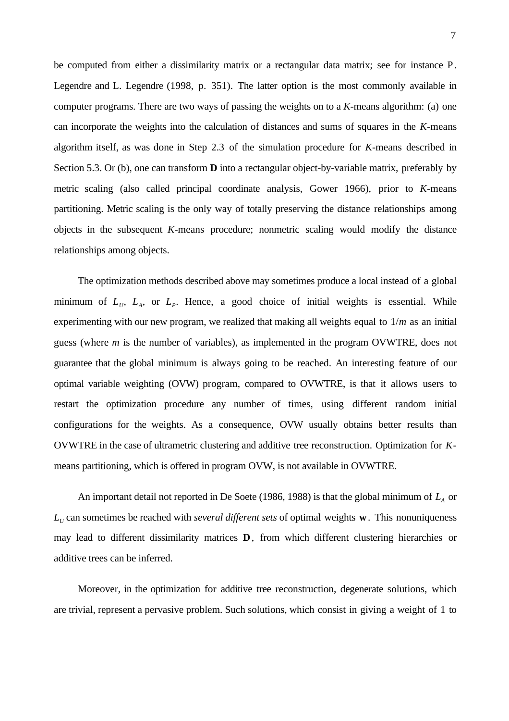be computed from either a dissimilarity matrix or a rectangular data matrix; see for instance P. Legendre and L. Legendre (1998, p. 351). The latter option is the most commonly available in computer programs. There are two ways of passing the weights on to a *K*-means algorithm: (a) one can incorporate the weights into the calculation of distances and sums of squares in the *K*-means algorithm itself, as was done in Step 2.3 of the simulation procedure for *K*-means described in Section 5.3. Or (b), one can transform **D** into a rectangular object-by-variable matrix, preferably by metric scaling (also called principal coordinate analysis, Gower 1966), prior to *K*-means partitioning. Metric scaling is the only way of totally preserving the distance relationships among objects in the subsequent *K*-means procedure; nonmetric scaling would modify the distance relationships among objects.

The optimization methods described above may sometimes produce a local instead of a global minimum of  $L_v$ ,  $L_A$ , or  $L_p$ . Hence, a good choice of initial weights is essential. While experimenting with our new program, we realized that making all weights equal to 1/*m* as an initial guess (where *m* is the number of variables), as implemented in the program OVWTRE, does not guarantee that the global minimum is always going to be reached. An interesting feature of our optimal variable weighting (OVW) program, compared to OVWTRE, is that it allows users to restart the optimization procedure any number of times, using different random initial configurations for the weights. As a consequence, OVW usually obtains better results than OVWTRE in the case of ultrametric clustering and additive tree reconstruction. Optimization for *K*means partitioning, which is offered in program OVW, is not available in OVWTRE.

An important detail not reported in De Soete (1986, 1988) is that the global minimum of  $L_A$  or  $L<sub>U</sub>$  can sometimes be reached with *several different sets* of optimal weights **w**. This nonuniqueness may lead to different dissimilarity matrices **D**, from which different clustering hierarchies or additive trees can be inferred.

Moreover, in the optimization for additive tree reconstruction, degenerate solutions, which are trivial, represent a pervasive problem. Such solutions, which consist in giving a weight of 1 to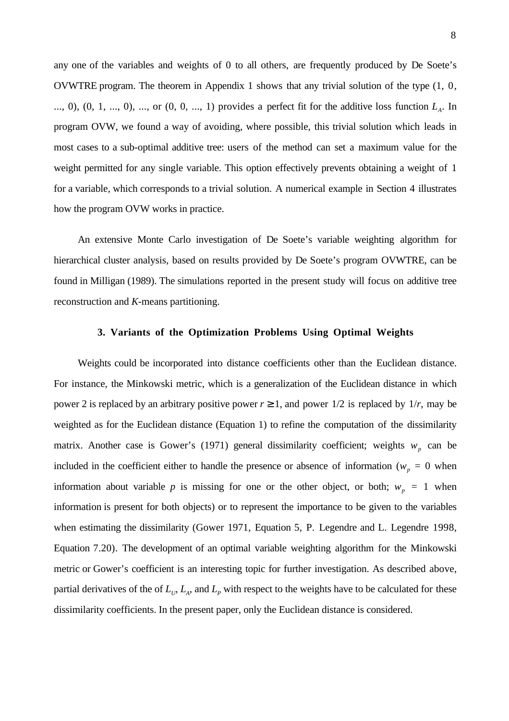any one of the variables and weights of 0 to all others, are frequently produced by De Soete's OVWTRE program. The theorem in Appendix 1 shows that any trivial solution of the type (1, 0, ..., 0),  $(0, 1, ..., 0)$ , ..., or  $(0, 0, ..., 1)$  provides a perfect fit for the additive loss function  $L<sub>A</sub>$ . In program OVW, we found a way of avoiding, where possible, this trivial solution which leads in most cases to a sub-optimal additive tree: users of the method can set a maximum value for the weight permitted for any single variable. This option effectively prevents obtaining a weight of 1 for a variable, which corresponds to a trivial solution. A numerical example in Section 4 illustrates how the program OVW works in practice.

An extensive Monte Carlo investigation of De Soete's variable weighting algorithm for hierarchical cluster analysis, based on results provided by De Soete's program OVWTRE, can be found in Milligan (1989). The simulations reported in the present study will focus on additive tree reconstruction and *K*-means partitioning.

## **3. Variants of the Optimization Problems Using Optimal Weights**

Weights could be incorporated into distance coefficients other than the Euclidean distance. For instance, the Minkowski metric, which is a generalization of the Euclidean distance in which power 2 is replaced by an arbitrary positive power  $r \ge 1$ , and power  $1/2$  is replaced by  $1/r$ , may be weighted as for the Euclidean distance (Equation 1) to refine the computation of the dissimilarity matrix. Another case is Gower's (1971) general dissimilarity coefficient; weights  $w_p$  can be included in the coefficient either to handle the presence or absence of information ( $w_p = 0$  when information about variable *p* is missing for one or the other object, or both;  $w_p = 1$  when information is present for both objects) or to represent the importance to be given to the variables when estimating the dissimilarity (Gower 1971, Equation 5, P. Legendre and L. Legendre 1998, Equation 7.20). The development of an optimal variable weighting algorithm for the Minkowski metric or Gower's coefficient is an interesting topic for further investigation. As described above, partial derivatives of the of  $L_U$ ,  $L_A$ , and  $L_P$  with respect to the weights have to be calculated for these dissimilarity coefficients. In the present paper, only the Euclidean distance is considered.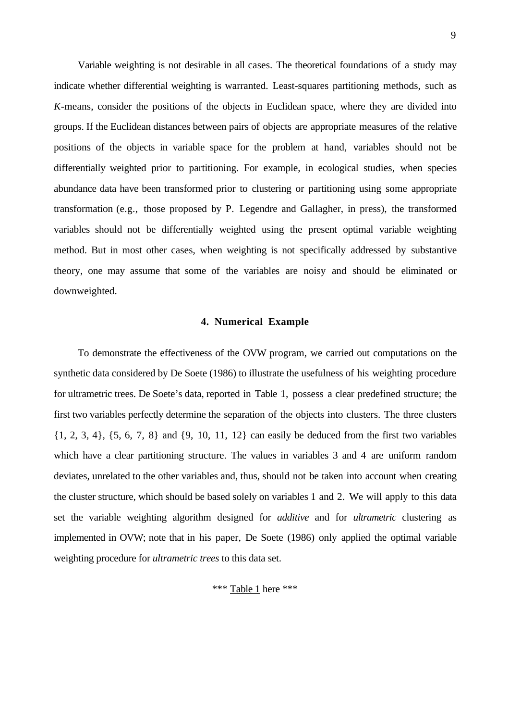Variable weighting is not desirable in all cases. The theoretical foundations of a study may indicate whether differential weighting is warranted. Least-squares partitioning methods, such as *K*-means, consider the positions of the objects in Euclidean space, where they are divided into groups. If the Euclidean distances between pairs of objects are appropriate measures of the relative positions of the objects in variable space for the problem at hand, variables should not be differentially weighted prior to partitioning. For example, in ecological studies, when species abundance data have been transformed prior to clustering or partitioning using some appropriate transformation (e.g., those proposed by P. Legendre and Gallagher, in press), the transformed variables should not be differentially weighted using the present optimal variable weighting method. But in most other cases, when weighting is not specifically addressed by substantive theory, one may assume that some of the variables are noisy and should be eliminated or downweighted.

## **4. Numerical Example**

To demonstrate the effectiveness of the OVW program, we carried out computations on the synthetic data considered by De Soete (1986) to illustrate the usefulness of his weighting procedure for ultrametric trees. De Soete's data, reported in Table 1, possess a clear predefined structure; the first two variables perfectly determine the separation of the objects into clusters. The three clusters  $\{1, 2, 3, 4\}, \{5, 6, 7, 8\}$  and  $\{9, 10, 11, 12\}$  can easily be deduced from the first two variables which have a clear partitioning structure. The values in variables 3 and 4 are uniform random deviates, unrelated to the other variables and, thus, should not be taken into account when creating the cluster structure, which should be based solely on variables 1 and 2. We will apply to this data set the variable weighting algorithm designed for *additive* and for *ultrametric* clustering as implemented in OVW; note that in his paper, De Soete (1986) only applied the optimal variable weighting procedure for *ultrametric trees* to this data set.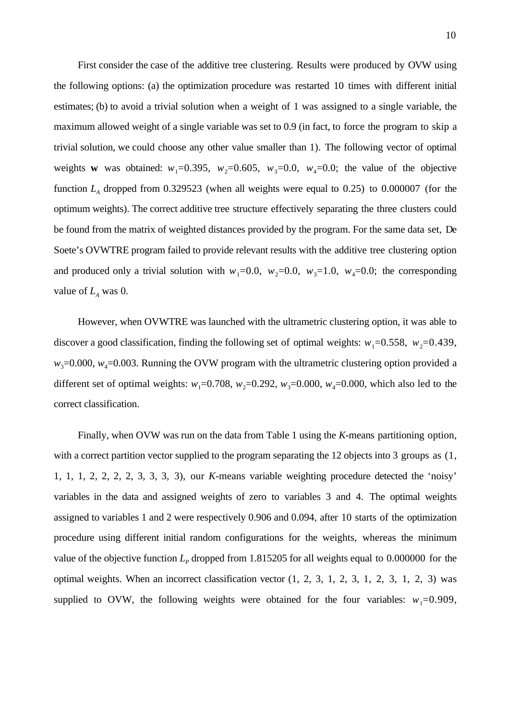First consider the case of the additive tree clustering. Results were produced by OVW using the following options: (a) the optimization procedure was restarted 10 times with different initial estimates; (b) to avoid a trivial solution when a weight of 1 was assigned to a single variable, the maximum allowed weight of a single variable was set to 0.9 (in fact, to force the program to skip a trivial solution, we could choose any other value smaller than 1). The following vector of optimal weights **w** was obtained:  $w_1=0.395$ ,  $w_2=0.605$ ,  $w_3=0.0$ ,  $w_4=0.0$ ; the value of the objective function  $L<sub>A</sub>$  dropped from 0.329523 (when all weights were equal to 0.25) to 0.000007 (for the optimum weights). The correct additive tree structure effectively separating the three clusters could be found from the matrix of weighted distances provided by the program. For the same data set, De Soete's OVWTRE program failed to provide relevant results with the additive tree clustering option and produced only a trivial solution with  $w_1=0.0$ ,  $w_2=0.0$ ,  $w_3=1.0$ ,  $w_4=0.0$ ; the corresponding value of  $L_A$  was 0.

However, when OVWTRE was launched with the ultrametric clustering option, it was able to discover a good classification, finding the following set of optimal weights:  $w_1=0.558$ ,  $w_2=0.439$ ,  $w_3$ =0.000,  $w_4$ =0.003. Running the OVW program with the ultrametric clustering option provided a different set of optimal weights:  $w_1 = 0.708$ ,  $w_2 = 0.292$ ,  $w_3 = 0.000$ ,  $w_4 = 0.000$ , which also led to the correct classification.

Finally, when OVW was run on the data from Table 1 using the *K*-means partitioning option, with a correct partition vector supplied to the program separating the 12 objects into 3 groups as  $(1, 1)$ 1, 1, 1, 2, 2, 2, 2, 3, 3, 3, 3), our *K*-means variable weighting procedure detected the 'noisy' variables in the data and assigned weights of zero to variables 3 and 4. The optimal weights assigned to variables 1 and 2 were respectively 0.906 and 0.094, after 10 starts of the optimization procedure using different initial random configurations for the weights, whereas the minimum value of the objective function  $L_p$  dropped from 1.815205 for all weights equal to 0.000000 for the optimal weights. When an incorrect classification vector (1, 2, 3, 1, 2, 3, 1, 2, 3, 1, 2, 3) was supplied to OVW, the following weights were obtained for the four variables:  $w_1=0.909$ ,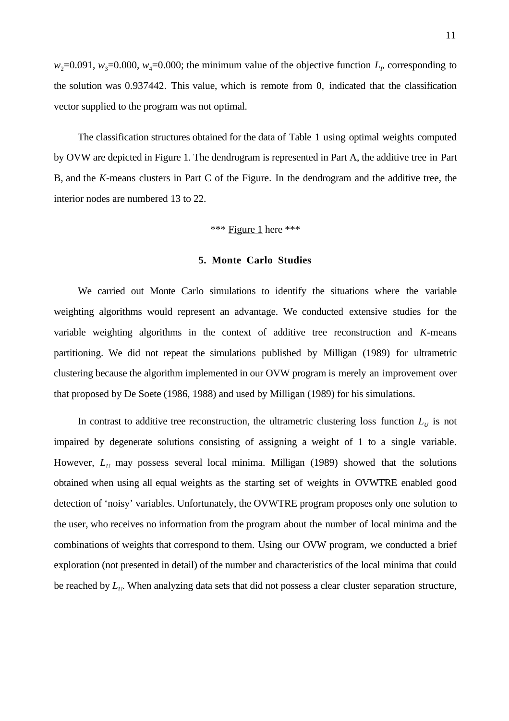$w_2$ =0.091,  $w_3$ =0.000,  $w_4$ =0.000; the minimum value of the objective function  $L_p$  corresponding to the solution was 0.937442. This value, which is remote from 0, indicated that the classification vector supplied to the program was not optimal.

The classification structures obtained for the data of Table 1 using optimal weights computed by OVW are depicted in Figure 1. The dendrogram is represented in Part A, the additive tree in Part B, and the *K*-means clusters in Part C of the Figure. In the dendrogram and the additive tree, the interior nodes are numbered 13 to 22.

## \*\*\* Figure 1 here \*\*\*

## **5. Monte Carlo Studies**

We carried out Monte Carlo simulations to identify the situations where the variable weighting algorithms would represent an advantage. We conducted extensive studies for the variable weighting algorithms in the context of additive tree reconstruction and *K*-means partitioning. We did not repeat the simulations published by Milligan (1989) for ultrametric clustering because the algorithm implemented in our OVW program is merely an improvement over that proposed by De Soete (1986, 1988) and used by Milligan (1989) for his simulations.

In contrast to additive tree reconstruction, the ultrametric clustering loss function  $L<sub>U</sub>$  is not impaired by degenerate solutions consisting of assigning a weight of 1 to a single variable. However,  $L_U$  may possess several local minima. Milligan (1989) showed that the solutions obtained when using all equal weights as the starting set of weights in OVWTRE enabled good detection of 'noisy' variables. Unfortunately, the OVWTRE program proposes only one solution to the user, who receives no information from the program about the number of local minima and the combinations of weights that correspond to them. Using our OVW program, we conducted a brief exploration (not presented in detail) of the number and characteristics of the local minima that could be reached by  $L_{U}$ . When analyzing data sets that did not possess a clear cluster separation structure,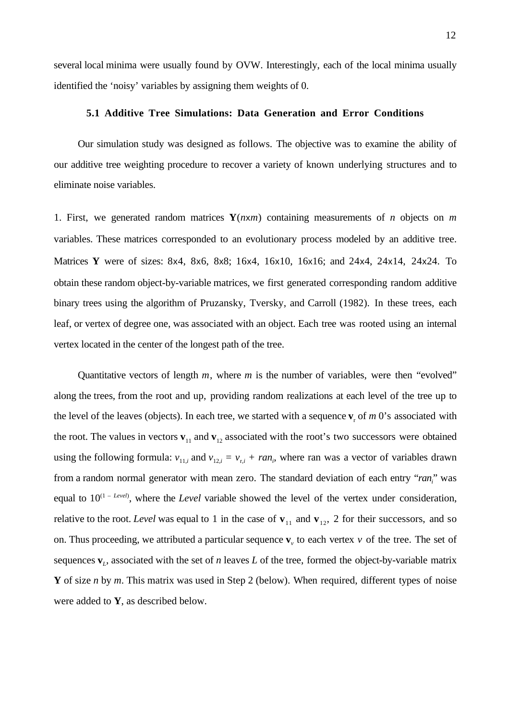several local minima were usually found by OVW. Interestingly, each of the local minima usually identified the 'noisy' variables by assigning them weights of 0.

## **5.1 Additive Tree Simulations: Data Generation and Error Conditions**

Our simulation study was designed as follows. The objective was to examine the ability of our additive tree weighting procedure to recover a variety of known underlying structures and to eliminate noise variables.

1. First, we generated random matrices **Y**(*n*x*m*) containing measurements of *n* objects on *m* variables. These matrices corresponded to an evolutionary process modeled by an additive tree. Matrices **Y** were of sizes: 8x4, 8x6, 8x8; 16x4, 16x10, 16x16; and 24x4, 24x14, 24x24. To obtain these random object-by-variable matrices, we first generated corresponding random additive binary trees using the algorithm of Pruzansky, Tversky, and Carroll (1982). In these trees, each leaf, or vertex of degree one, was associated with an object. Each tree was rooted using an internal vertex located in the center of the longest path of the tree.

Quantitative vectors of length *m*, where *m* is the number of variables, were then "evolved" along the trees, from the root and up, providing random realizations at each level of the tree up to the level of the leaves (objects). In each tree, we started with a sequence  $\mathbf{v}_r$  of  $m$  0's associated with the root. The values in vectors  $\mathbf{v}_{11}$  and  $\mathbf{v}_{12}$  associated with the root's two successors were obtained using the following formula:  $v_{11,i}$  and  $v_{12,i} = v_{r,i} + ran_i$ , where ran was a vector of variables drawn from a random normal generator with mean zero. The standard deviation of each entry "*ran*<sub>i</sub>" was equal to  $10^{(1 - Level)}$ , where the *Level* variable showed the level of the vertex under consideration, relative to the root. *Level* was equal to 1 in the case of  $\mathbf{v}_{11}$  and  $\mathbf{v}_{12}$ , 2 for their successors, and so on. Thus proceeding, we attributed a particular sequence  $\mathbf{v}_v$  to each vertex  $v$  of the tree. The set of sequences  $\mathbf{v}_L$ , associated with the set of *n* leaves *L* of the tree, formed the object-by-variable matrix **Y** of size *n* by *m*. This matrix was used in Step 2 (below). When required, different types of noise were added to **Y**, as described below.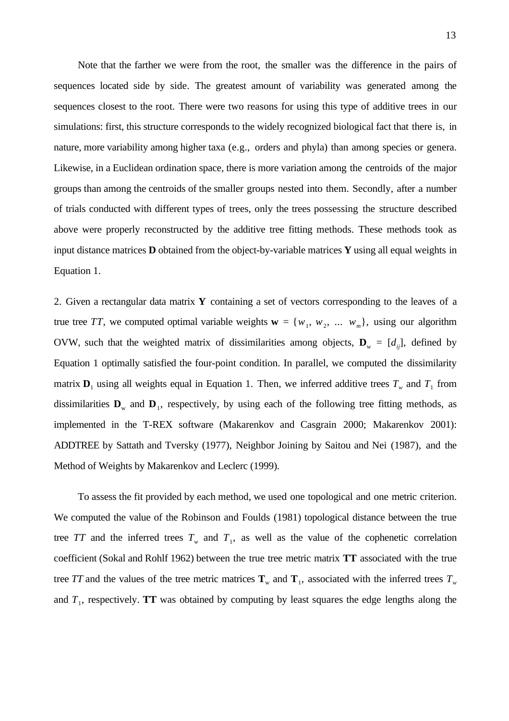Note that the farther we were from the root, the smaller was the difference in the pairs of sequences located side by side. The greatest amount of variability was generated among the sequences closest to the root. There were two reasons for using this type of additive trees in our simulations: first, this structure corresponds to the widely recognized biological fact that there is, in nature, more variability among higher taxa (e.g., orders and phyla) than among species or genera. Likewise, in a Euclidean ordination space, there is more variation among the centroids of the major groups than among the centroids of the smaller groups nested into them. Secondly, after a number of trials conducted with different types of trees, only the trees possessing the structure described above were properly reconstructed by the additive tree fitting methods. These methods took as input distance matrices **D** obtained from the object-by-variable matrices **Y** using all equal weights in Equation 1.

2. Given a rectangular data matrix **Y** containing a set of vectors corresponding to the leaves of a true tree *TT*, we computed optimal variable weights  $\mathbf{w} = \{w_1, w_2, \dots, w_m\}$ , using our algorithm OVW, such that the weighted matrix of dissimilarities among objects,  $\mathbf{D}_{w} = [d_{ij}]$ , defined by Equation 1 optimally satisfied the four-point condition. In parallel, we computed the dissimilarity matrix  $D_1$  using all weights equal in Equation 1. Then, we inferred additive trees  $T_w$  and  $T_1$  from dissimilarities  $\mathbf{D}_w$  and  $\mathbf{D}_1$ , respectively, by using each of the following tree fitting methods, as implemented in the T-REX software (Makarenkov and Casgrain 2000; Makarenkov 2001): ADDTREE by Sattath and Tversky (1977), Neighbor Joining by Saitou and Nei (1987), and the Method of Weights by Makarenkov and Leclerc (1999).

To assess the fit provided by each method, we used one topological and one metric criterion. We computed the value of the Robinson and Foulds (1981) topological distance between the true tree *TT* and the inferred trees  $T_w$  and  $T_1$ , as well as the value of the cophenetic correlation coefficient (Sokal and Rohlf 1962) between the true tree metric matrix **TT** associated with the true tree *TT* and the values of the tree metric matrices  $T_w$  and  $T_1$ , associated with the inferred trees  $T_w$ and  $T_1$ , respectively. **TT** was obtained by computing by least squares the edge lengths along the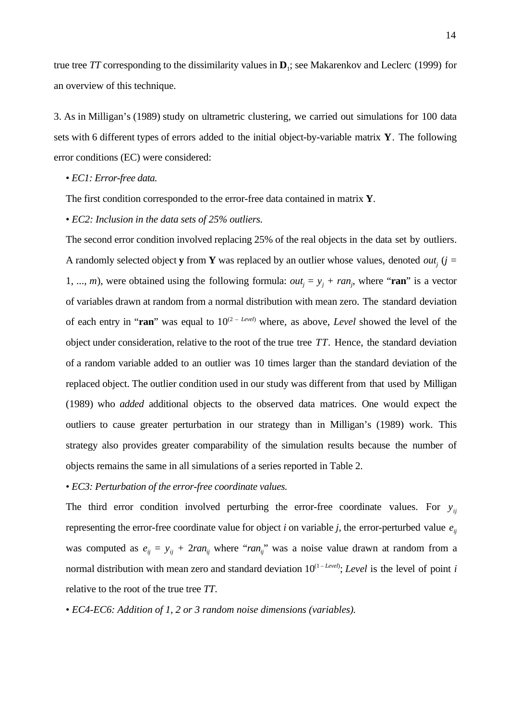true tree *TT* corresponding to the dissimilarity values in  $D_1$ ; see Makarenkov and Leclerc (1999) for an overview of this technique.

3. As in Milligan's (1989) study on ultrametric clustering, we carried out simulations for 100 data sets with 6 different types of errors added to the initial object-by-variable matrix **Y**. The following error conditions (EC) were considered:

• *EC1: Error-free data.*

The first condition corresponded to the error-free data contained in matrix **Y**.

• *EC2: Inclusion in the data sets of 25% outliers.*

The second error condition involved replacing 25% of the real objects in the data set by outliers. A randomly selected object **y** from **Y** was replaced by an outlier whose values, denoted *out<sub>j</sub>* (*j* = 1, ..., *m*), were obtained using the following formula:  $out_j = y_j + ran_j$ , where "ran" is a vector of variables drawn at random from a normal distribution with mean zero. The standard deviation of each entry in "**ran**" was equal to  $10^{(2 - Level)}$  where, as above, *Level* showed the level of the object under consideration, relative to the root of the true tree *TT*. Hence, the standard deviation of a random variable added to an outlier was 10 times larger than the standard deviation of the replaced object. The outlier condition used in our study was different from that used by Milligan (1989) who *added* additional objects to the observed data matrices. One would expect the outliers to cause greater perturbation in our strategy than in Milligan's (1989) work. This strategy also provides greater comparability of the simulation results because the number of objects remains the same in all simulations of a series reported in Table 2.

• *EC3: Perturbation of the error-free coordinate values.*

The third error condition involved perturbing the error-free coordinate values. For  $y_{ij}$ representing the error-free coordinate value for object *i* on variable *j*, the error-perturbed value  $e_{ij}$ was computed as  $e_{ij} = y_{ij} + 2ra_n$  where "*ran<sub>ij</sub>*" was a noise value drawn at random from a normal distribution with mean zero and standard deviation  $10^{(1 - Level)}$ ; *Level* is the level of point *i* relative to the root of the true tree *TT*.

• *EC4-EC6: Addition of 1, 2 or 3 random noise dimensions (variables).*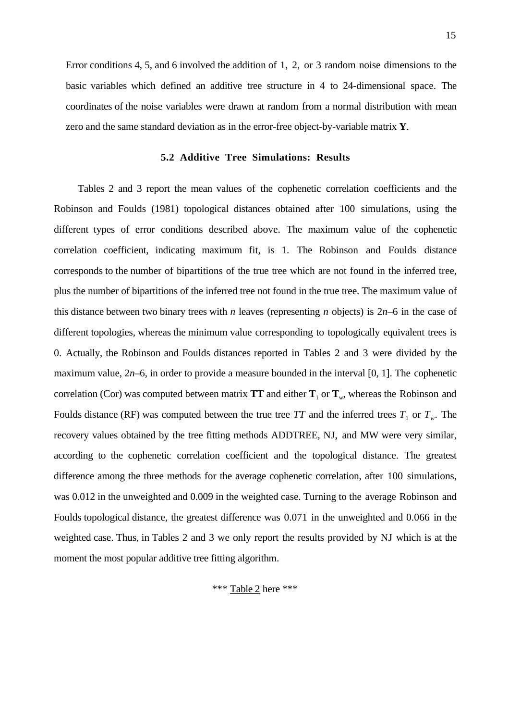Error conditions 4, 5, and 6 involved the addition of 1, 2, or 3 random noise dimensions to the basic variables which defined an additive tree structure in 4 to 24-dimensional space. The coordinates of the noise variables were drawn at random from a normal distribution with mean zero and the same standard deviation as in the error-free object-by-variable matrix **Y**.

#### **5.2 Additive Tree Simulations: Results**

Tables 2 and 3 report the mean values of the cophenetic correlation coefficients and the Robinson and Foulds (1981) topological distances obtained after 100 simulations, using the different types of error conditions described above. The maximum value of the cophenetic correlation coefficient, indicating maximum fit, is 1. The Robinson and Foulds distance corresponds to the number of bipartitions of the true tree which are not found in the inferred tree, plus the number of bipartitions of the inferred tree not found in the true tree. The maximum value of this distance between two binary trees with *n* leaves (representing *n* objects) is  $2n-6$  in the case of different topologies, whereas the minimum value corresponding to topologically equivalent trees is 0. Actually, the Robinson and Foulds distances reported in Tables 2 and 3 were divided by the maximum value, 2*n*–6, in order to provide a measure bounded in the interval [0, 1]. The cophenetic correlation (Cor) was computed between matrix **TT** and either  $T_1$  or  $T_w$ , whereas the Robinson and Foulds distance (RF) was computed between the true tree TT and the inferred trees  $T_1$  or  $T_w$ . The recovery values obtained by the tree fitting methods ADDTREE, NJ, and MW were very similar, according to the cophenetic correlation coefficient and the topological distance. The greatest difference among the three methods for the average cophenetic correlation, after 100 simulations, was 0.012 in the unweighted and 0.009 in the weighted case. Turning to the average Robinson and Foulds topological distance, the greatest difference was 0.071 in the unweighted and 0.066 in the weighted case. Thus, in Tables 2 and 3 we only report the results provided by NJ which is at the moment the most popular additive tree fitting algorithm.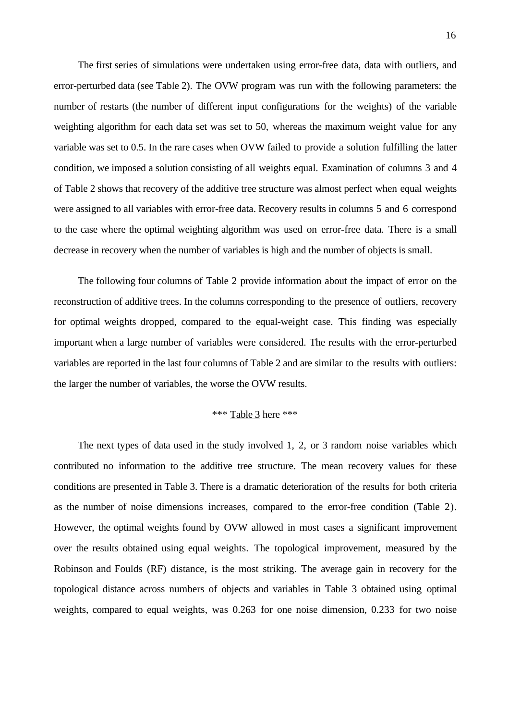The first series of simulations were undertaken using error-free data, data with outliers, and error-perturbed data (see Table 2). The OVW program was run with the following parameters: the number of restarts (the number of different input configurations for the weights) of the variable weighting algorithm for each data set was set to 50, whereas the maximum weight value for any variable was set to 0.5. In the rare cases when OVW failed to provide a solution fulfilling the latter condition, we imposed a solution consisting of all weights equal. Examination of columns 3 and 4 of Table 2 shows that recovery of the additive tree structure was almost perfect when equal weights were assigned to all variables with error-free data. Recovery results in columns 5 and 6 correspond to the case where the optimal weighting algorithm was used on error-free data. There is a small decrease in recovery when the number of variables is high and the number of objects is small.

The following four columns of Table 2 provide information about the impact of error on the reconstruction of additive trees. In the columns corresponding to the presence of outliers, recovery for optimal weights dropped, compared to the equal-weight case. This finding was especially important when a large number of variables were considered. The results with the error-perturbed variables are reported in the last four columns of Table 2 and are similar to the results with outliers: the larger the number of variables, the worse the OVW results.

# \*\*\* Table 3 here \*\*\*

The next types of data used in the study involved 1, 2, or 3 random noise variables which contributed no information to the additive tree structure. The mean recovery values for these conditions are presented in Table 3. There is a dramatic deterioration of the results for both criteria as the number of noise dimensions increases, compared to the error-free condition (Table 2). However, the optimal weights found by OVW allowed in most cases a significant improvement over the results obtained using equal weights. The topological improvement, measured by the Robinson and Foulds (RF) distance, is the most striking. The average gain in recovery for the topological distance across numbers of objects and variables in Table 3 obtained using optimal weights, compared to equal weights, was 0.263 for one noise dimension, 0.233 for two noise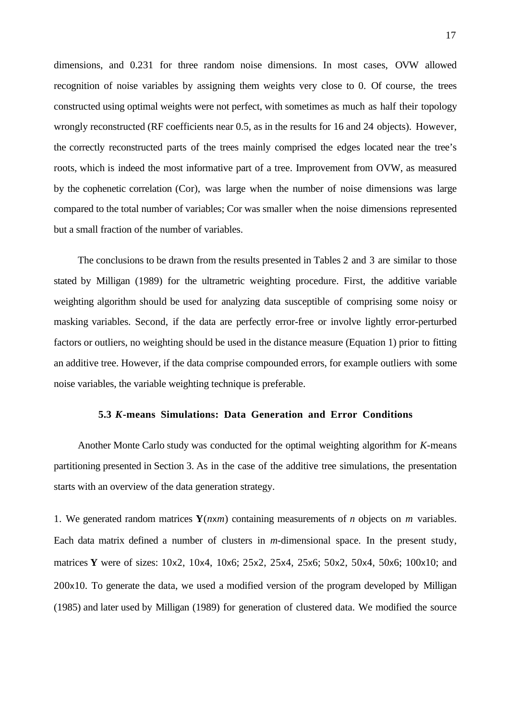dimensions, and 0.231 for three random noise dimensions. In most cases, OVW allowed recognition of noise variables by assigning them weights very close to 0. Of course, the trees constructed using optimal weights were not perfect, with sometimes as much as half their topology wrongly reconstructed (RF coefficients near 0.5, as in the results for 16 and 24 objects). However, the correctly reconstructed parts of the trees mainly comprised the edges located near the tree's roots, which is indeed the most informative part of a tree. Improvement from OVW, as measured by the cophenetic correlation (Cor), was large when the number of noise dimensions was large compared to the total number of variables; Cor was smaller when the noise dimensions represented but a small fraction of the number of variables.

The conclusions to be drawn from the results presented in Tables 2 and 3 are similar to those stated by Milligan (1989) for the ultrametric weighting procedure. First, the additive variable weighting algorithm should be used for analyzing data susceptible of comprising some noisy or masking variables. Second, if the data are perfectly error-free or involve lightly error-perturbed factors or outliers, no weighting should be used in the distance measure (Equation 1) prior to fitting an additive tree. However, if the data comprise compounded errors, for example outliers with some noise variables, the variable weighting technique is preferable.

#### **5.3** *K***-means Simulations: Data Generation and Error Conditions**

Another Monte Carlo study was conducted for the optimal weighting algorithm for *K*-means partitioning presented in Section 3. As in the case of the additive tree simulations, the presentation starts with an overview of the data generation strategy.

1. We generated random matrices **Y**(*n*x*m*) containing measurements of *n* objects on *m* variables. Each data matrix defined a number of clusters in *m*-dimensional space. In the present study, matrices **Y** were of sizes: 10x2, 10x4, 10x6; 25x2, 25x4, 25x6; 50x2, 50x4, 50x6; 100x10; and 200x10. To generate the data, we used a modified version of the program developed by Milligan (1985) and later used by Milligan (1989) for generation of clustered data. We modified the source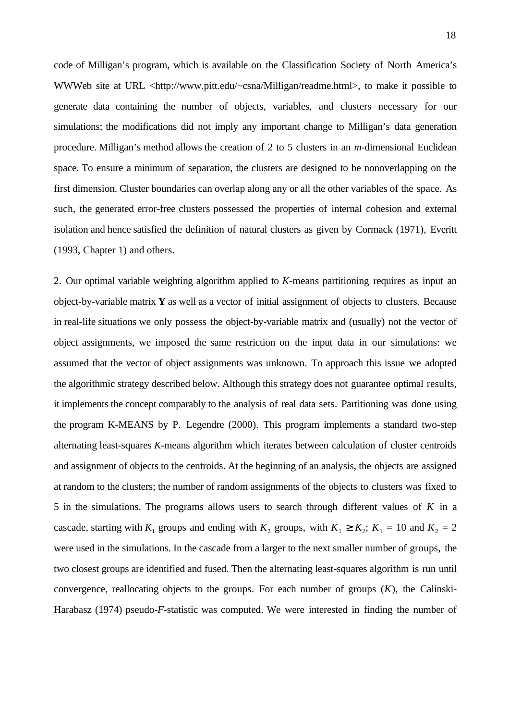code of Milligan's program, which is available on the Classification Society of North America's WWWeb site at URL <http://www.pitt.edu/~csna/Milligan/readme.html>, to make it possible to generate data containing the number of objects, variables, and clusters necessary for our simulations; the modifications did not imply any important change to Milligan's data generation procedure. Milligan's method allows the creation of 2 to 5 clusters in an *m*-dimensional Euclidean space. To ensure a minimum of separation, the clusters are designed to be nonoverlapping on the first dimension. Cluster boundaries can overlap along any or all the other variables of the space. As such, the generated error-free clusters possessed the properties of internal cohesion and external isolation and hence satisfied the definition of natural clusters as given by Cormack (1971), Everitt (1993, Chapter 1) and others.

2. Our optimal variable weighting algorithm applied to *K*-means partitioning requires as input an object-by-variable matrix **Y** as well as a vector of initial assignment of objects to clusters. Because in real-life situations we only possess the object-by-variable matrix and (usually) not the vector of object assignments, we imposed the same restriction on the input data in our simulations: we assumed that the vector of object assignments was unknown. To approach this issue we adopted the algorithmic strategy described below. Although this strategy does not guarantee optimal results, it implements the concept comparably to the analysis of real data sets. Partitioning was done using the program K-MEANS by P. Legendre (2000). This program implements a standard two-step alternating least-squares *K*-means algorithm which iterates between calculation of cluster centroids and assignment of objects to the centroids. At the beginning of an analysis, the objects are assigned at random to the clusters; the number of random assignments of the objects to clusters was fixed to 5 in the simulations. The programs allows users to search through different values of *K* in a cascade, starting with  $K_1$  groups and ending with  $K_2$  groups, with  $K_1 \ge K_2$ ;  $K_1 = 10$  and  $K_2 = 2$ were used in the simulations. In the cascade from a larger to the next smaller number of groups, the two closest groups are identified and fused. Then the alternating least-squares algorithm is run until convergence, reallocating objects to the groups. For each number of groups (*K*), the Calinski-Harabasz (1974) pseudo-*F*-statistic was computed. We were interested in finding the number of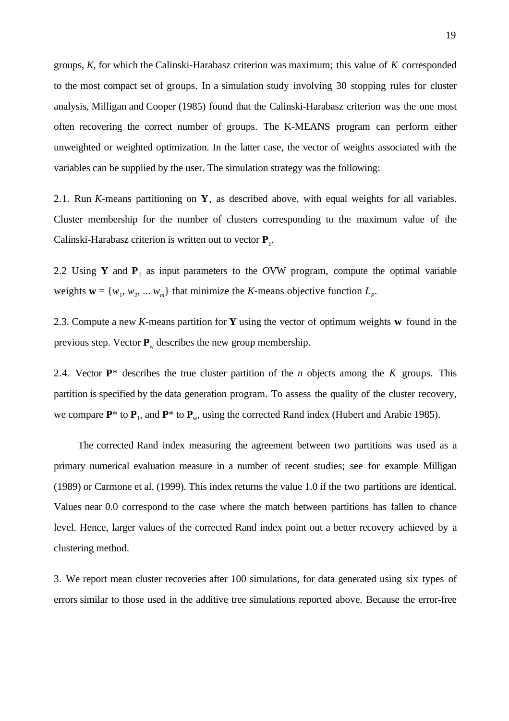groups, *K*, for which the Calinski-Harabasz criterion was maximum; this value of *K* corresponded to the most compact set of groups. In a simulation study involving 30 stopping rules for cluster analysis, Milligan and Cooper (1985) found that the Calinski-Harabasz criterion was the one most often recovering the correct number of groups. The K-MEANS program can perform either unweighted or weighted optimization. In the latter case, the vector of weights associated with the variables can be supplied by the user. The simulation strategy was the following:

2.1. Run *K*-means partitioning on **Y**, as described above, with equal weights for all variables. Cluster membership for the number of clusters corresponding to the maximum value of the Calinski-Harabasz criterion is written out to vector **P**1.

2.2 Using **Y** and  $P_1$  as input parameters to the OVW program, compute the optimal variable weights  $\mathbf{w} = \{w_1, w_2, \dots w_m\}$  that minimize the *K*-means objective function  $L_p$ .

2.3. Compute a new *K*-means partition for **Y** using the vector of optimum weights **w** found in the previous step. Vector  $P_w$  describes the new group membership.

2.4. Vector  $\mathbf{P}^*$  describes the true cluster partition of the *n* objects among the *K* groups. This partition is specified by the data generation program. To assess the quality of the cluster recovery, we compare  $P^*$  to  $P_1$ , and  $P^*$  to  $P_w$ , using the corrected Rand index (Hubert and Arabie 1985).

The corrected Rand index measuring the agreement between two partitions was used as a primary numerical evaluation measure in a number of recent studies; see for example Milligan (1989) or Carmone et al. (1999). This index returns the value 1.0 if the two partitions are identical. Values near 0.0 correspond to the case where the match between partitions has fallen to chance level. Hence, larger values of the corrected Rand index point out a better recovery achieved by a clustering method.

3. We report mean cluster recoveries after 100 simulations, for data generated using six types of errors similar to those used in the additive tree simulations reported above. Because the error-free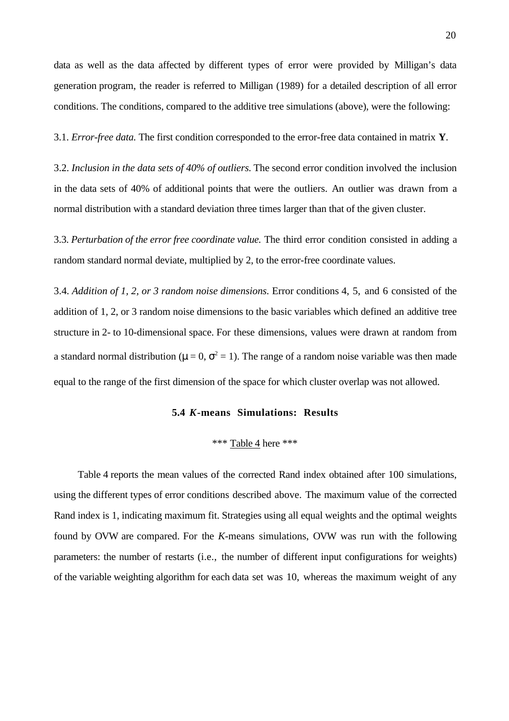data as well as the data affected by different types of error were provided by Milligan's data generation program, the reader is referred to Milligan (1989) for a detailed description of all error conditions. The conditions, compared to the additive tree simulations (above), were the following:

3.1. *Error-free data.* The first condition corresponded to the error-free data contained in matrix **Y**.

3.2. *Inclusion in the data sets of 40% of outliers.* The second error condition involved the inclusion in the data sets of 40% of additional points that were the outliers. An outlier was drawn from a normal distribution with a standard deviation three times larger than that of the given cluster.

3.3. *Perturbation of the error free coordinate value.* The third error condition consisted in adding a random standard normal deviate, multiplied by 2, to the error-free coordinate values.

3.4. *Addition of 1, 2, or 3 random noise dimensions.* Error conditions 4, 5, and 6 consisted of the addition of 1, 2, or 3 random noise dimensions to the basic variables which defined an additive tree structure in 2- to 10-dimensional space. For these dimensions, values were drawn at random from a standard normal distribution ( $\mu = 0$ ,  $\sigma^2 = 1$ ). The range of a random noise variable was then made equal to the range of the first dimension of the space for which cluster overlap was not allowed.

## **5.4** *K***-means Simulations: Results**

## \*\*\* Table 4 here \*\*\*

Table 4 reports the mean values of the corrected Rand index obtained after 100 simulations, using the different types of error conditions described above. The maximum value of the corrected Rand index is 1, indicating maximum fit. Strategies using all equal weights and the optimal weights found by OVW are compared. For the *K*-means simulations, OVW was run with the following parameters: the number of restarts (i.e., the number of different input configurations for weights) of the variable weighting algorithm for each data set was 10, whereas the maximum weight of any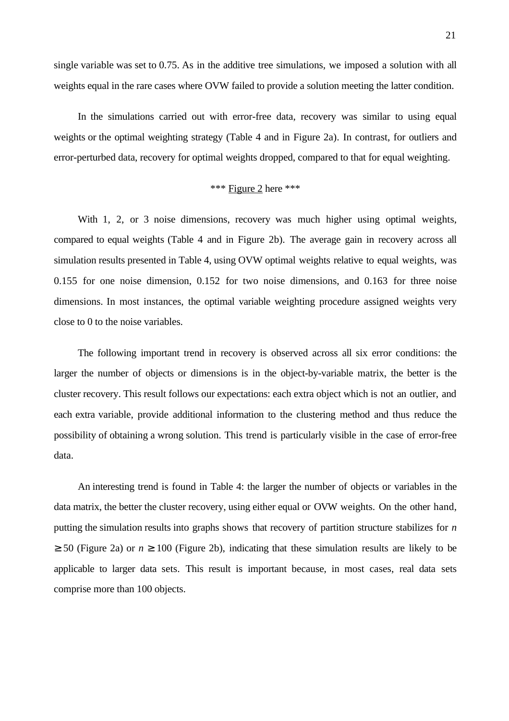single variable was set to 0.75. As in the additive tree simulations, we imposed a solution with all weights equal in the rare cases where OVW failed to provide a solution meeting the latter condition.

In the simulations carried out with error-free data, recovery was similar to using equal weights or the optimal weighting strategy (Table 4 and in Figure 2a). In contrast, for outliers and error-perturbed data, recovery for optimal weights dropped, compared to that for equal weighting.

# \*\*\* Figure 2 here \*\*\*

With 1, 2, or 3 noise dimensions, recovery was much higher using optimal weights, compared to equal weights (Table 4 and in Figure 2b). The average gain in recovery across all simulation results presented in Table 4, using OVW optimal weights relative to equal weights, was 0.155 for one noise dimension, 0.152 for two noise dimensions, and 0.163 for three noise dimensions. In most instances, the optimal variable weighting procedure assigned weights very close to 0 to the noise variables.

The following important trend in recovery is observed across all six error conditions: the larger the number of objects or dimensions is in the object-by-variable matrix, the better is the cluster recovery. This result follows our expectations: each extra object which is not an outlier, and each extra variable, provide additional information to the clustering method and thus reduce the possibility of obtaining a wrong solution. This trend is particularly visible in the case of error-free data.

An interesting trend is found in Table 4: the larger the number of objects or variables in the data matrix, the better the cluster recovery, using either equal or OVW weights. On the other hand, putting the simulation results into graphs shows that recovery of partition structure stabilizes for *n*  $\geq$  50 (Figure 2a) or  $n \geq 100$  (Figure 2b), indicating that these simulation results are likely to be applicable to larger data sets. This result is important because, in most cases, real data sets comprise more than 100 objects.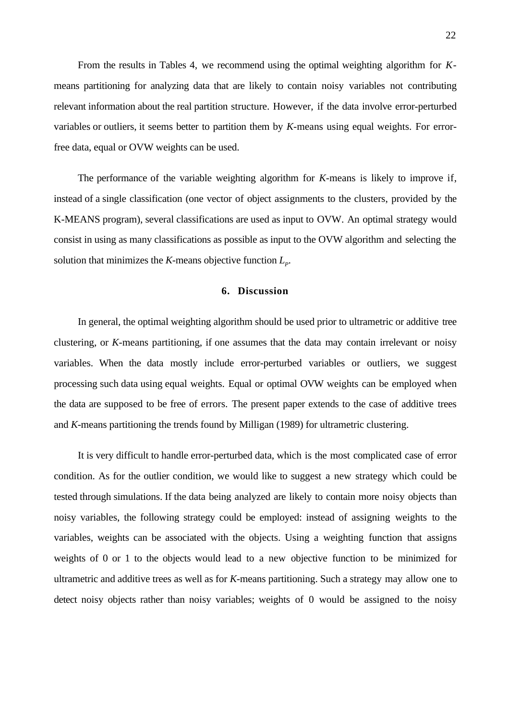From the results in Tables 4, we recommend using the optimal weighting algorithm for *K*means partitioning for analyzing data that are likely to contain noisy variables not contributing relevant information about the real partition structure. However, if the data involve error-perturbed variables or outliers, it seems better to partition them by *K*-means using equal weights. For errorfree data, equal or OVW weights can be used.

The performance of the variable weighting algorithm for *K*-means is likely to improve if, instead of a single classification (one vector of object assignments to the clusters, provided by the K-MEANS program), several classifications are used as input to OVW. An optimal strategy would consist in using as many classifications as possible as input to the OVW algorithm and selecting the solution that minimizes the *K*-means objective function  $L_p$ .

## **6. Discussion**

In general, the optimal weighting algorithm should be used prior to ultrametric or additive tree clustering, or *K*-means partitioning, if one assumes that the data may contain irrelevant or noisy variables. When the data mostly include error-perturbed variables or outliers, we suggest processing such data using equal weights. Equal or optimal OVW weights can be employed when the data are supposed to be free of errors. The present paper extends to the case of additive trees and *K*-means partitioning the trends found by Milligan (1989) for ultrametric clustering.

It is very difficult to handle error-perturbed data, which is the most complicated case of error condition. As for the outlier condition, we would like to suggest a new strategy which could be tested through simulations. If the data being analyzed are likely to contain more noisy objects than noisy variables, the following strategy could be employed: instead of assigning weights to the variables, weights can be associated with the objects. Using a weighting function that assigns weights of 0 or 1 to the objects would lead to a new objective function to be minimized for ultrametric and additive trees as well as for *K*-means partitioning. Such a strategy may allow one to detect noisy objects rather than noisy variables; weights of 0 would be assigned to the noisy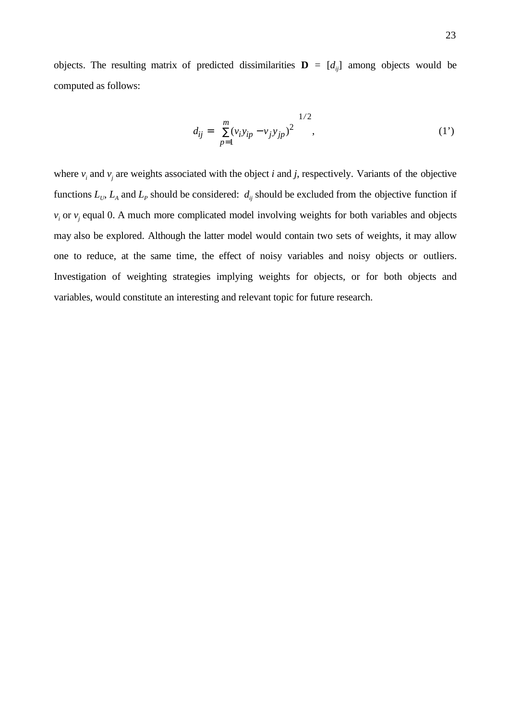objects. The resulting matrix of predicted dissimilarities  $\mathbf{D} = [d_{ij}]$  among objects would be computed as follows:

$$
d_{ij} = \left[ \sum_{p=1}^{m} (v_i y_{ip} - v_j y_{jp})^2 \right]^{1/2},
$$
 (1')

where  $v_i$  and  $v_j$  are weights associated with the object *i* and *j*, respectively. Variants of the objective functions  $L_v$ ,  $L_A$  and  $L_P$  should be considered:  $d_{ij}$  should be excluded from the objective function if  $v_i$  or  $v_j$  equal 0. A much more complicated model involving weights for both variables and objects may also be explored. Although the latter model would contain two sets of weights, it may allow one to reduce, at the same time, the effect of noisy variables and noisy objects or outliers. Investigation of weighting strategies implying weights for objects, or for both objects and variables, would constitute an interesting and relevant topic for future research.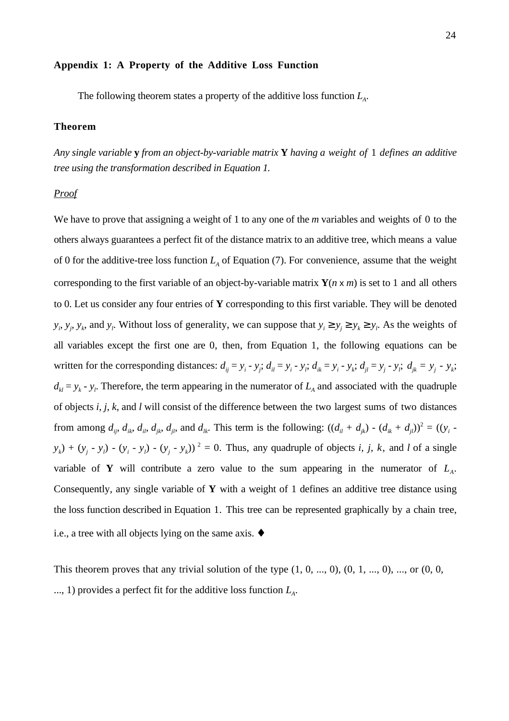#### **Appendix 1: A Property of the Additive Loss Function**

The following theorem states a property of the additive loss function  $L<sub>A</sub>$ .

## **Theorem**

*Any single variable* **y** *from an object-by-variable matrix* **Y** *having a weight of* 1 *defines an additive tree using the transformation described in Equation 1.*

#### *Proof*

We have to prove that assigning a weight of 1 to any one of the *m* variables and weights of 0 to the others always guarantees a perfect fit of the distance matrix to an additive tree, which means a value of 0 for the additive-tree loss function  $L<sub>A</sub>$  of Equation (7). For convenience, assume that the weight corresponding to the first variable of an object-by-variable matrix  $\mathbf{Y}(n \times m)$  is set to 1 and all others to 0. Let us consider any four entries of **Y** corresponding to this first variable. They will be denoted  $y_i$ ,  $y_j$ ,  $y_k$ , and  $y_l$ . Without loss of generality, we can suppose that  $y_i \ge y_j \ge y_k \ge y_l$ . As the weights of all variables except the first one are 0, then, from Equation 1, the following equations can be written for the corresponding distances:  $d_{ij} = y_i - y_j$ ;  $d_{il} = y_i - y_i$ ;  $d_{ik} = y_i - y_k$ ;  $d_{jl} = y_j - y_i$ ;  $d_{jk} = y_j - y_k$ ;  $d_{kl} = y_k - y_l$ . Therefore, the term appearing in the numerator of  $L_A$  and associated with the quadruple of objects *i*, *j*, *k*, and *l* will consist of the difference between the two largest sums of two distances from among  $d_{ij}$ ,  $d_{ik}$ ,  $d_{jl}$ ,  $d_{jk}$ ,  $d_{jl}$ , and  $d_{lk}$ . This term is the following:  $((d_{il} + d_{jk}) - (d_{ik} + d_{jl}))^2 = ((y_i - d_{il})^2 + (d_{il} + d_{jl})^2)$  $y_k$ ) +  $(y_j - y_l)$  -  $(y_i - y_l)$  -  $(y_j - y_k)$ )<sup>2</sup> = 0. Thus, any quadruple of objects *i, j, k,* and *l* of a single variable of **Y** will contribute a zero value to the sum appearing in the numerator of  $L<sub>A</sub>$ . Consequently, any single variable of **Y** with a weight of 1 defines an additive tree distance using the loss function described in Equation 1. This tree can be represented graphically by a chain tree, i.e., a tree with all objects lying on the same axis. ♦

This theorem proves that any trivial solution of the type  $(1, 0, ..., 0)$ ,  $(0, 1, ..., 0)$ , ..., or  $(0, 0, ...)$ ..., 1) provides a perfect fit for the additive loss function  $L<sub>A</sub>$ .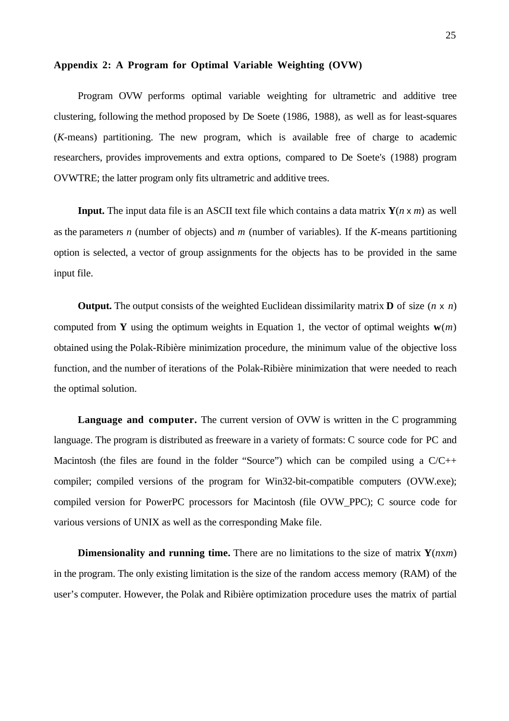#### **Appendix 2: A Program for Optimal Variable Weighting (OVW)**

Program OVW performs optimal variable weighting for ultrametric and additive tree clustering, following the method proposed by De Soete (1986, 1988), as well as for least-squares (*K*-means) partitioning. The new program, which is available free of charge to academic researchers, provides improvements and extra options, compared to De Soete's (1988) program OVWTRE; the latter program only fits ultrametric and additive trees.

**Input.** The input data file is an ASCII text file which contains a data matrix  $Y(n \times m)$  as well as the parameters *n* (number of objects) and *m* (number of variables). If the *K*-means partitioning option is selected, a vector of group assignments for the objects has to be provided in the same input file.

**Output.** The output consists of the weighted Euclidean dissimilarity matrix **D** of size (*n* x *n*) computed from **Y** using the optimum weights in Equation 1, the vector of optimal weights  $w(m)$ obtained using the Polak-Ribière minimization procedure, the minimum value of the objective loss function, and the number of iterations of the Polak-Ribière minimization that were needed to reach the optimal solution.

**Language and computer.** The current version of OVW is written in the C programming language. The program is distributed as freeware in a variety of formats: C source code for PC and Macintosh (the files are found in the folder "Source") which can be compiled using a  $C/C++$ compiler; compiled versions of the program for Win32-bit-compatible computers (OVW.exe); compiled version for PowerPC processors for Macintosh (file OVW\_PPC); C source code for various versions of UNIX as well as the corresponding Make file.

**Dimensionality and running time.** There are no limitations to the size of matrix  $Y(nx)$ in the program. The only existing limitation is the size of the random access memory (RAM) of the user's computer. However, the Polak and Ribière optimization procedure uses the matrix of partial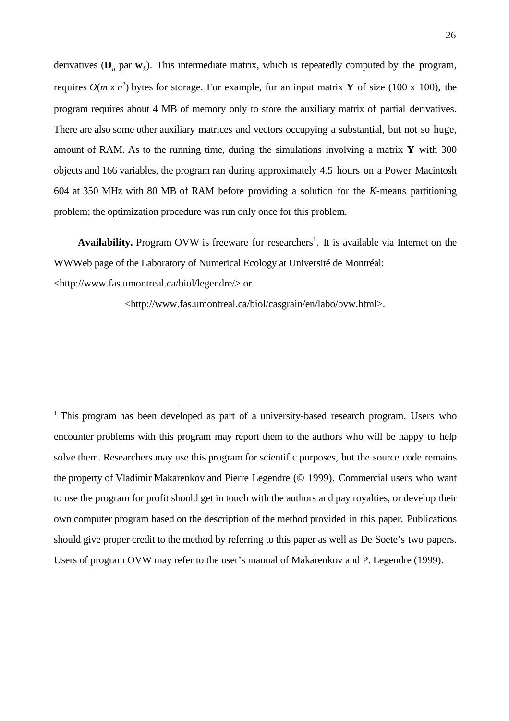derivatives  $(\mathbf{D}_{ij}$  par  $\mathbf{w}_k$ ). This intermediate matrix, which is repeatedly computed by the program, requires  $O(m \times n^2)$  bytes for storage. For example, for an input matrix **Y** of size (100 x 100), the program requires about 4 MB of memory only to store the auxiliary matrix of partial derivatives. There are also some other auxiliary matrices and vectors occupying a substantial, but not so huge, amount of RAM. As to the running time, during the simulations involving a matrix **Y** with 300 objects and 166 variables, the program ran during approximately 4.5 hours on a Power Macintosh 604 at 350 MHz with 80 MB of RAM before providing a solution for the *K*-means partitioning problem; the optimization procedure was run only once for this problem.

Availability. Program OVW is freeware for researchers<sup>1</sup>. It is available via Internet on the WWWeb page of the Laboratory of Numerical Ecology at Université de Montréal: <http://www.fas.umontreal.ca/biol/legendre/> or

<http://www.fas.umontreal.ca/biol/casgrain/en/labo/ovw.html>.

 $\overline{\phantom{a}}$ <sup>1</sup> This program has been developed as part of a university-based research program. Users who encounter problems with this program may report them to the authors who will be happy to help solve them. Researchers may use this program for scientific purposes, but the source code remains the property of Vladimir Makarenkov and Pierre Legendre (© 1999). Commercial users who want to use the program for profit should get in touch with the authors and pay royalties, or develop their own computer program based on the description of the method provided in this paper. Publications should give proper credit to the method by referring to this paper as well as De Soete's two papers. Users of program OVW may refer to the user's manual of Makarenkov and P. Legendre (1999).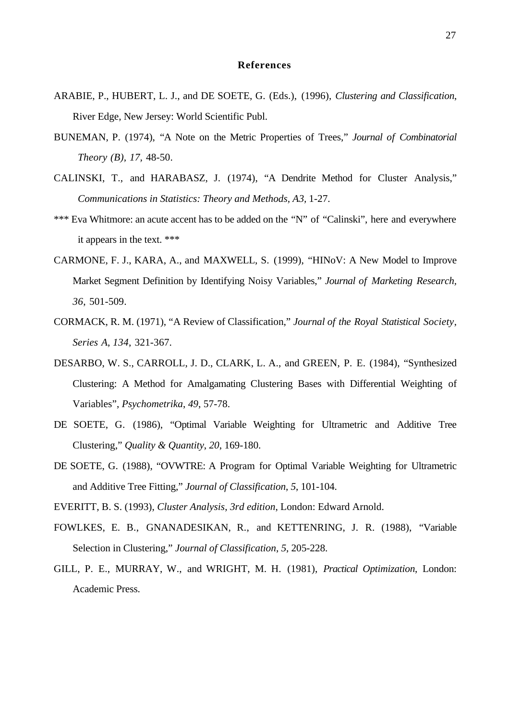#### **References**

- ARABIE, P., HUBERT, L. J., and DE SOETE, G. (Eds.), (1996), *Clustering and Classification*, River Edge, New Jersey: World Scientific Publ.
- BUNEMAN, P. (1974), "A Note on the Metric Properties of Trees," *Journal of Combinatorial Theory (B), 17,* 48-50.
- CALINSKI, T., and HARABASZ, J. (1974), "A Dendrite Method for Cluster Analysis," *Communications in Statistics: Theory and Methods, A3,* 1-27.
- \*\*\* Eva Whitmore: an acute accent has to be added on the "N" of "Calinski", here and everywhere it appears in the text. \*\*\*
- CARMONE, F. J., KARA, A., and MAXWELL, S. (1999), "HINoV: A New Model to Improve Market Segment Definition by Identifying Noisy Variables," *Journal of Marketing Research, 36*, 501-509.
- CORMACK, R. M. (1971), "A Review of Classification," *Journal of the Royal Statistical Society*, *Series A*, *134*, 321-367.
- DESARBO, W. S., CARROLL, J. D., CLARK, L. A., and GREEN, P. E. (1984), "Synthesized Clustering: A Method for Amalgamating Clustering Bases with Differential Weighting of Variables", *Psychometrika*, *49*, 57-78.
- DE SOETE, G. (1986), "Optimal Variable Weighting for Ultrametric and Additive Tree Clustering," *Quality & Quantity*, *20*, 169-180.
- DE SOETE, G. (1988), "OVWTRE: A Program for Optimal Variable Weighting for Ultrametric and Additive Tree Fitting," *Journal of Classification*, *5*, 101-104.
- EVERITT, B. S. (1993), *Cluster Analysis*, *3rd edition*, London: Edward Arnold.
- FOWLKES, E. B., GNANADESIKAN, R., and KETTENRING, J. R. (1988), "Variable Selection in Clustering," *Journal of Classification*, *5*, 205-228.
- GILL, P. E., MURRAY, W., and WRIGHT, M. H. (1981), *Practical Optimization*, London: Academic Press.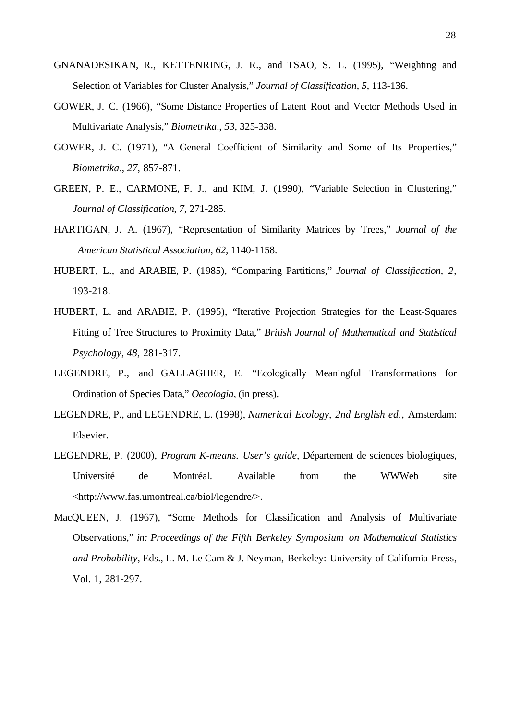- GNANADESIKAN, R., KETTENRING, J. R., and TSAO, S. L. (1995), "Weighting and Selection of Variables for Cluster Analysis," *Journal of Classification*, *5*, 113-136.
- GOWER, J. C. (1966), "Some Distance Properties of Latent Root and Vector Methods Used in Multivariate Analysis," *Biometrika*., *53*, 325-338.
- GOWER, J. C. (1971), "A General Coefficient of Similarity and Some of Its Properties," *Biometrika*., *27*, 857-871.
- GREEN, P. E., CARMONE, F. J., and KIM, J. (1990), "Variable Selection in Clustering," *Journal of Classification*, *7*, 271-285.
- HARTIGAN, J. A. (1967), "Representation of Similarity Matrices by Trees," *Journal of the American Statistical Association, 62,* 1140-1158.
- HUBERT, L., and ARABIE, P. (1985), "Comparing Partitions," *Journal of Classification*, *2*, 193-218.
- HUBERT, L. and ARABIE, P. (1995), "Iterative Projection Strategies for the Least-Squares Fitting of Tree Structures to Proximity Data," *British Journal of Mathematical and Statistical Psychology*, *48*, 281-317.
- LEGENDRE, P., and GALLAGHER, E. "Ecologically Meaningful Transformations for Ordination of Species Data," *Oecologia*, (in press).
- LEGENDRE, P., and LEGENDRE, L. (1998), *Numerical Ecology, 2nd English ed.*, Amsterdam: Elsevier.
- LEGENDRE, P. (2000), *Program K-means. User's guide,* Département de sciences biologiques, Université de Montréal. Available from the WWWeb site <http://www.fas.umontreal.ca/biol/legendre/>.
- MacQUEEN, J. (1967), "Some Methods for Classification and Analysis of Multivariate Observations," *in: Proceedings of the Fifth Berkeley Symposium on Mathematical Statistics and Probability*, Eds., L. M. Le Cam & J. Neyman, Berkeley: University of California Press, Vol. 1, 281-297.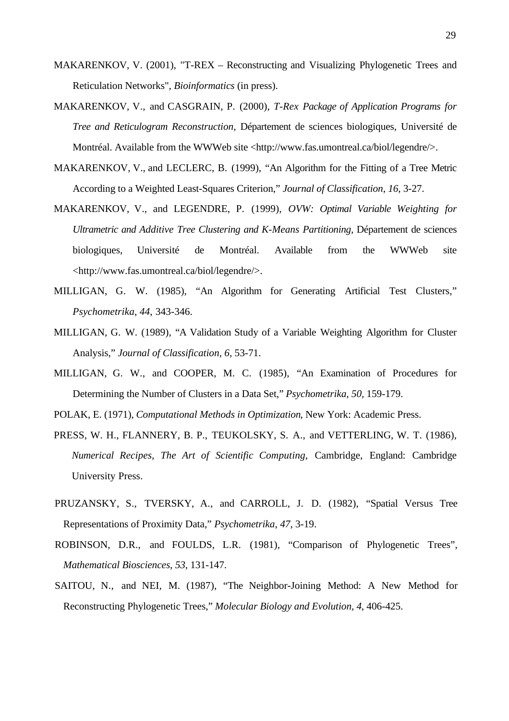- MAKARENKOV, V. (2001), "T-REX Reconstructing and Visualizing Phylogenetic Trees and Reticulation Networks", *Bioinformatics* (in press).
- MAKARENKOV, V., and CASGRAIN, P. (2000), *T-Rex Package of Application Programs for Tree and Reticulogram Reconstruction*, Département de sciences biologiques, Université de Montréal. Available from the WWWeb site <http://www.fas.umontreal.ca/biol/legendre/>.
- MAKARENKOV, V., and LECLERC, B. (1999), "An Algorithm for the Fitting of a Tree Metric According to a Weighted Least-Squares Criterion," *Journal of Classification*, *16*, 3-27.
- MAKARENKOV, V., and LEGENDRE, P. (1999), *OVW: Optimal Variable Weighting for Ultrametric and Additive Tree Clustering and K-Means Partitioning,* Département de sciences biologiques, Université de Montréal. Available from the WWWeb site <http://www.fas.umontreal.ca/biol/legendre/>.
- MILLIGAN, G. W. (1985), "An Algorithm for Generating Artificial Test Clusters," *Psychometrika*, *44*, 343-346.
- MILLIGAN, G. W. (1989), "A Validation Study of a Variable Weighting Algorithm for Cluster Analysis," *Journal of Classification*, *6*, 53-71.
- MILLIGAN, G. W., and COOPER, M. C. (1985), "An Examination of Procedures for Determining the Number of Clusters in a Data Set," *Psychometrika, 50,* 159-179.

POLAK, E. (1971), *Computational Methods in Optimization*, New York: Academic Press.

- PRESS, W. H., FLANNERY, B. P., TEUKOLSKY, S. A., and VETTERLING, W. T. (1986), *Numerical Recipes, The Art of Scientific Computing*, Cambridge, England: Cambridge University Press.
- PRUZANSKY, S., TVERSKY, A., and CARROLL, J. D. (1982), "Spatial Versus Tree Representations of Proximity Data," *Psychometrika*, *47*, 3-19.
- ROBINSON, D.R., and FOULDS, L.R. (1981), "Comparison of Phylogenetic Trees", *Mathematical Biosciences*, *53*, 131-147.
- SAITOU, N., and NEI, M. (1987), "The Neighbor-Joining Method: A New Method for Reconstructing Phylogenetic Trees," *Molecular Biology and Evolution, 4*, 406-425.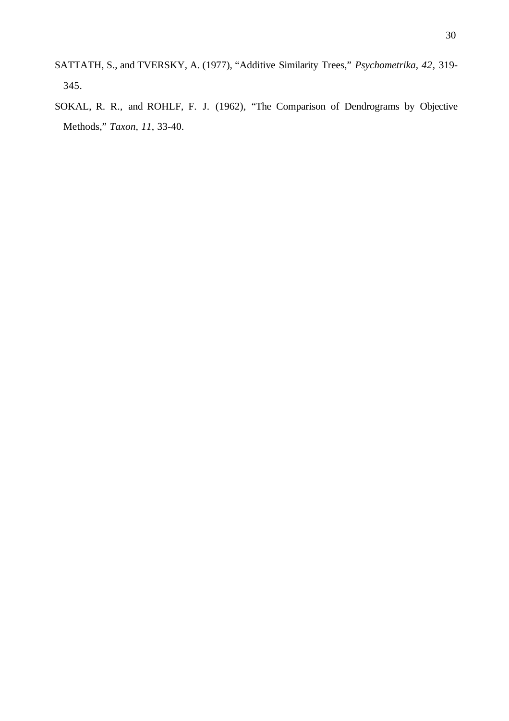- SATTATH, S., and TVERSKY, A. (1977), "Additive Similarity Trees," *Psychometrika, 42*, 319- 345.
- SOKAL, R. R., and ROHLF, F. J. (1962), "The Comparison of Dendrograms by Objective Methods," *Taxon, 11*, 33-40.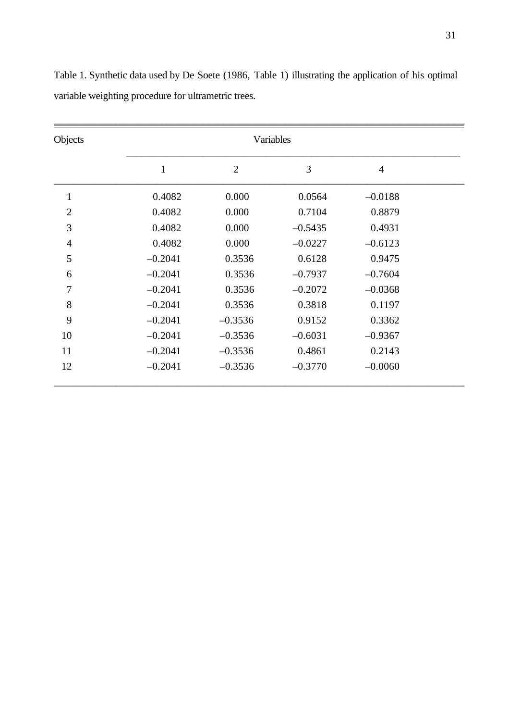| Objects        | Variables |                |           |                |  |
|----------------|-----------|----------------|-----------|----------------|--|
|                | 1         | $\overline{2}$ | 3         | $\overline{4}$ |  |
| $\mathbf{1}$   | 0.4082    | 0.000          | 0.0564    | $-0.0188$      |  |
| $\overline{2}$ | 0.4082    | 0.000          | 0.7104    | 0.8879         |  |
| 3              | 0.4082    | 0.000          | $-0.5435$ | 0.4931         |  |
| $\overline{4}$ | 0.4082    | 0.000          | $-0.0227$ | $-0.6123$      |  |
| 5              | $-0.2041$ | 0.3536         | 0.6128    | 0.9475         |  |
| 6              | $-0.2041$ | 0.3536         | $-0.7937$ | $-0.7604$      |  |
| 7              | $-0.2041$ | 0.3536         | $-0.2072$ | $-0.0368$      |  |
| 8              | $-0.2041$ | 0.3536         | 0.3818    | 0.1197         |  |
| 9              | $-0.2041$ | $-0.3536$      | 0.9152    | 0.3362         |  |
| 10             | $-0.2041$ | $-0.3536$      | $-0.6031$ | $-0.9367$      |  |
| 11             | $-0.2041$ | $-0.3536$      | 0.4861    | 0.2143         |  |
| 12             | $-0.2041$ | $-0.3536$      | $-0.3770$ | $-0.0060$      |  |

Table 1. Synthetic data used by De Soete (1986, Table 1) illustrating the application of his optimal variable weighting procedure for ultrametric trees.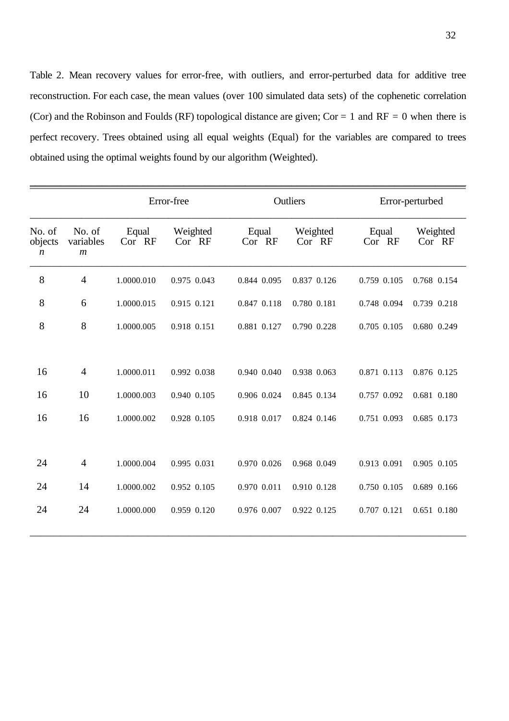Table 2. Mean recovery values for error-free, with outliers, and error-perturbed data for additive tree reconstruction. For each case, the mean values (over 100 simulated data sets) of the cophenetic correlation (Cor) and the Robinson and Foulds (RF) topological distance are given; Cor = 1 and RF = 0 when there is perfect recovery. Trees obtained using all equal weights (Equal) for the variables are compared to trees obtained using the optimal weights found by our algorithm (Weighted).

|                                       |                                         | Error-free      |                    | Outliers        |                    | Error-perturbed |                    |
|---------------------------------------|-----------------------------------------|-----------------|--------------------|-----------------|--------------------|-----------------|--------------------|
| No. of<br>objects<br>$\boldsymbol{n}$ | No. of<br>variables<br>$\boldsymbol{m}$ | Equal<br>Cor RF | Weighted<br>Cor RF | Equal<br>Cor RF | Weighted<br>Cor RF | Equal<br>Cor RF | Weighted<br>Cor RF |
| 8                                     | $\overline{4}$                          | 1.0000.010      | 0.975 0.043        | 0.844 0.095     | 0.837 0.126        | 0.759 0.105     | 0.768 0.154        |
| 8                                     | 6                                       | 1.0000.015      | 0.915 0.121        | 0.847 0.118     | 0.780 0.181        | 0.748 0.094     | 0.739 0.218        |
| 8                                     | 8                                       | 1.0000.005      | 0.918 0.151        | 0.881 0.127     | 0.790 0.228        | 0.705 0.105     | 0.680 0.249        |
|                                       |                                         |                 |                    |                 |                    |                 |                    |
| 16                                    | $\overline{4}$                          | 1.0000.011      | 0.992 0.038        | 0.940 0.040     | 0.938 0.063        | 0.871 0.113     | 0.876 0.125        |
| 16                                    | 10                                      | 1.0000.003      | 0.940 0.105        | 0.906 0.024     | 0.845 0.134        | 0.757 0.092     | 0.681 0.180        |
| 16                                    | 16                                      | 1.0000.002      | 0.928 0.105        | 0.918 0.017     | 0.824 0.146        | 0.751 0.093     | 0.685 0.173        |
|                                       |                                         |                 |                    |                 |                    |                 |                    |
| 24                                    | $\overline{4}$                          | 1.0000.004      | 0.995 0.031        | 0.970 0.026     | 0.968 0.049        | 0.913 0.091     | 0.905 0.105        |
| 24                                    | 14                                      | 1.0000.002      | 0.952 0.105        | 0.970 0.011     | 0.910 0.128        | 0.750 0.105     | 0.689 0.166        |
| 24                                    | 24                                      | 1.0000.000      | 0.959 0.120        | 0.976 0.007     | 0.922 0.125        | 0.707 0.121     | 0.651 0.180        |
|                                       |                                         |                 |                    |                 |                    |                 |                    |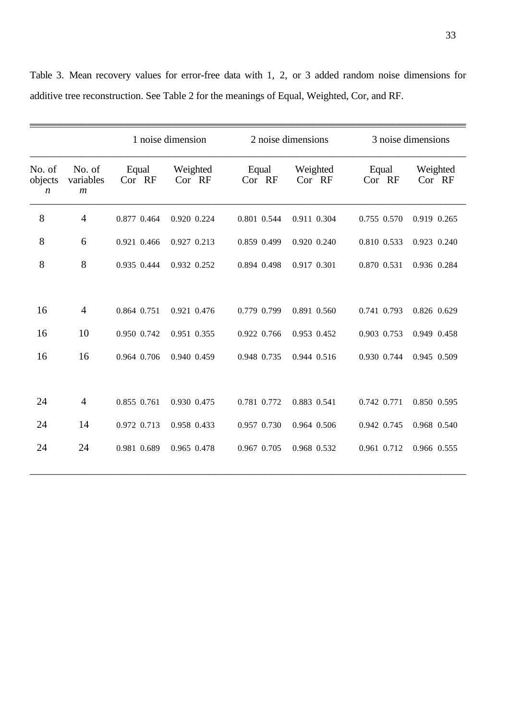|                                       |                                         | 1 noise dimension |                    | 2 noise dimensions |                    | 3 noise dimensions |                    |
|---------------------------------------|-----------------------------------------|-------------------|--------------------|--------------------|--------------------|--------------------|--------------------|
| No. of<br>objects<br>$\boldsymbol{n}$ | No. of<br>variables<br>$\boldsymbol{m}$ | Equal<br>Cor RF   | Weighted<br>Cor RF | Equal<br>Cor RF    | Weighted<br>Cor RF | Equal<br>Cor RF    | Weighted<br>Cor RF |
| 8                                     | $\overline{4}$                          | 0.877 0.464       | 0.920 0.224        | 0.801 0.544        | 0.911 0.304        | 0.755 0.570        | 0.919 0.265        |
| 8                                     | 6                                       | 0.921 0.466       | 0.927 0.213        | 0.859 0.499        | 0.920 0.240        | 0.810 0.533        | 0.923 0.240        |
| 8                                     | 8                                       | 0.935 0.444       | 0.932 0.252        | 0.894 0.498        | 0.917 0.301        | 0.870 0.531        | 0.936 0.284        |
| 16                                    | $\overline{4}$                          | 0.864 0.751       | 0.921 0.476        | 0.779 0.799        | 0.891 0.560        | 0.741 0.793        | 0.826 0.629        |
| 16                                    | 10                                      | 0.950 0.742       | 0.951 0.355        | 0.922 0.766        | 0.953 0.452        | 0.903 0.753        | 0.949 0.458        |
| 16                                    | 16                                      | 0.964 0.706       | 0.940 0.459        | 0.948 0.735        | 0.944 0.516        | 0.930 0.744        | 0.945 0.509        |
| 24                                    | $\overline{4}$                          | 0.855 0.761       | 0.930 0.475        | 0.781 0.772        | 0.883 0.541        | 0.742 0.771        | 0.850 0.595        |
| 24                                    | 14                                      | 0.972 0.713       | 0.958 0.433        | 0.957 0.730        | 0.964 0.506        | 0.942 0.745        | 0.968 0.540        |
| 24                                    | 24                                      | 0.981 0.689       | 0.965 0.478        | 0.967 0.705        | 0.968 0.532        | 0.961 0.712        | 0.966 0.555        |

Table 3. Mean recovery values for error-free data with 1, 2, or 3 added random noise dimensions for additive tree reconstruction. See Table 2 for the meanings of Equal, Weighted, Cor, and RF.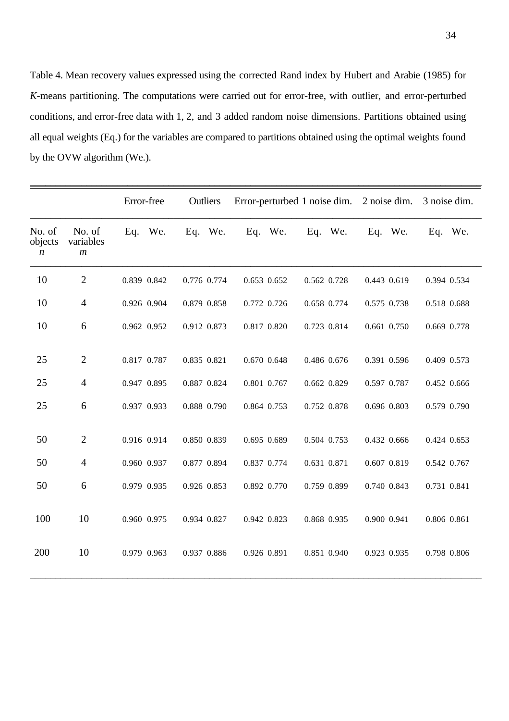Table 4. Mean recovery values expressed using the corrected Rand index by Hubert and Arabie (1985) for *K*-means partitioning. The computations were carried out for error-free, with outlier, and error-perturbed conditions, and error-free data with 1, 2, and 3 added random noise dimensions. Partitions obtained using all equal weights (Eq.) for the variables are compared to partitions obtained using the optimal weights found by the OVW algorithm (We.).

|                                       |                                         | Error-free  | Outliers    | Error-perturbed 1 noise dim. |             | 2 noise dim. | 3 noise dim. |
|---------------------------------------|-----------------------------------------|-------------|-------------|------------------------------|-------------|--------------|--------------|
| No. of<br>objects<br>$\boldsymbol{n}$ | No. of<br>variables<br>$\boldsymbol{m}$ | Eq. We.     | Eq. We.     | Eq. We.                      | Eq. We.     | Eq. We.      | Eq. We.      |
| 10                                    | $\overline{2}$                          | 0.839 0.842 | 0.776 0.774 | 0.653 0.652                  | 0.562 0.728 | 0.443 0.619  | 0.394 0.534  |
| 10                                    | $\overline{4}$                          | 0.926 0.904 | 0.879 0.858 | 0.772 0.726                  | 0.658 0.774 | 0.575 0.738  | 0.518 0.688  |
| 10                                    | 6                                       | 0.962 0.952 | 0.912 0.873 | 0.817 0.820                  | 0.723 0.814 | 0.661 0.750  | 0.669 0.778  |
| 25                                    | $\overline{2}$                          | 0.817 0.787 | 0.835 0.821 | 0.670 0.648                  | 0.486 0.676 | 0.391 0.596  | 0.409 0.573  |
| 25                                    | $\overline{4}$                          | 0.947 0.895 | 0.887 0.824 | 0.801 0.767                  | 0.662 0.829 | 0.597 0.787  | 0.452 0.666  |
| 25                                    | 6                                       | 0.937 0.933 | 0.888 0.790 | 0.864 0.753                  | 0.752 0.878 | 0.696 0.803  | 0.579 0.790  |
| 50                                    | $\overline{2}$                          | 0.916 0.914 | 0.850 0.839 | 0.695 0.689                  | 0.504 0.753 | 0.432 0.666  | 0.424 0.653  |
| 50                                    | $\overline{4}$                          | 0.960 0.937 | 0.877 0.894 | 0.837 0.774                  | 0.631 0.871 | 0.607 0.819  | 0.542 0.767  |
| 50                                    | 6                                       | 0.979 0.935 | 0.926 0.853 | 0.892 0.770                  | 0.759 0.899 | 0.740 0.843  | 0.731 0.841  |
| 100                                   | 10                                      | 0.960 0.975 | 0.934 0.827 | 0.942 0.823                  | 0.868 0.935 | 0.900 0.941  | 0.806 0.861  |
| 200                                   | 10                                      | 0.979 0.963 | 0.937 0.886 | 0.926 0.891                  | 0.851 0.940 | 0.923 0.935  | 0.798 0.806  |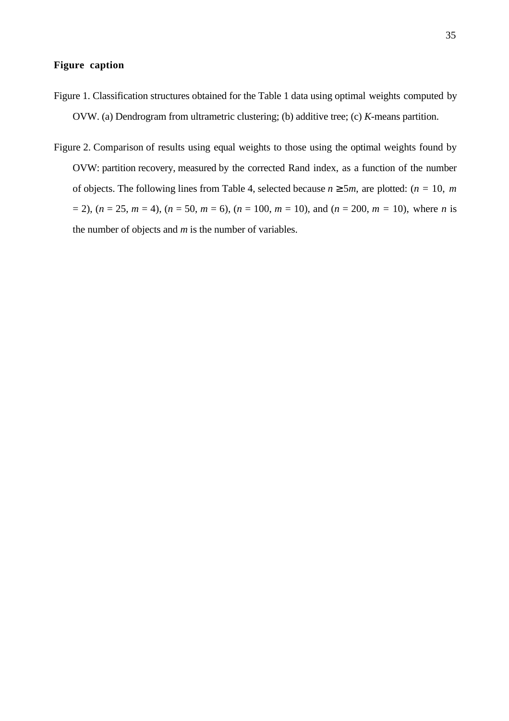## **Figure caption**

- Figure 1. Classification structures obtained for the Table 1 data using optimal weights computed by OVW. (a) Dendrogram from ultrametric clustering; (b) additive tree; (c) *K*-means partition.
- Figure 2. Comparison of results using equal weights to those using the optimal weights found by OVW: partition recovery, measured by the corrected Rand index, as a function of the number of objects. The following lines from Table 4, selected because  $n \ge 5m$ , are plotted:  $(n = 10, m)$  $(n = 25, m = 4)$ ,  $(n = 50, m = 6)$ ,  $(n = 100, m = 10)$ , and  $(n = 200, m = 10)$ , where *n* is the number of objects and *m* is the number of variables.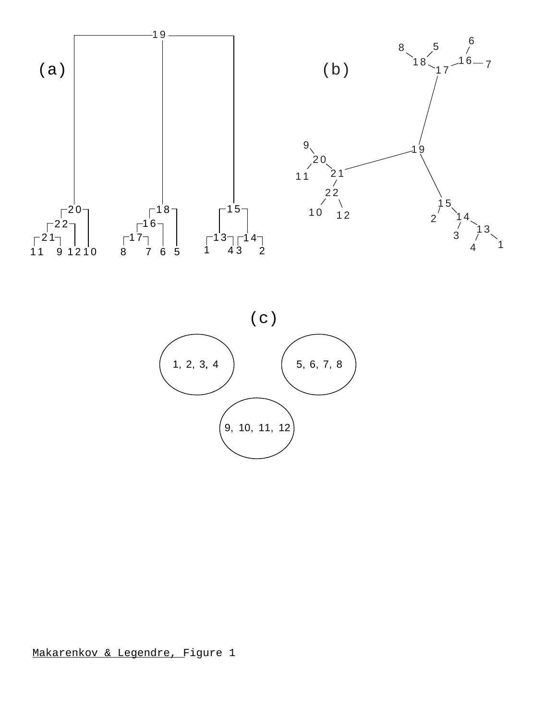



Makarenkov & Legendre, Figure 1